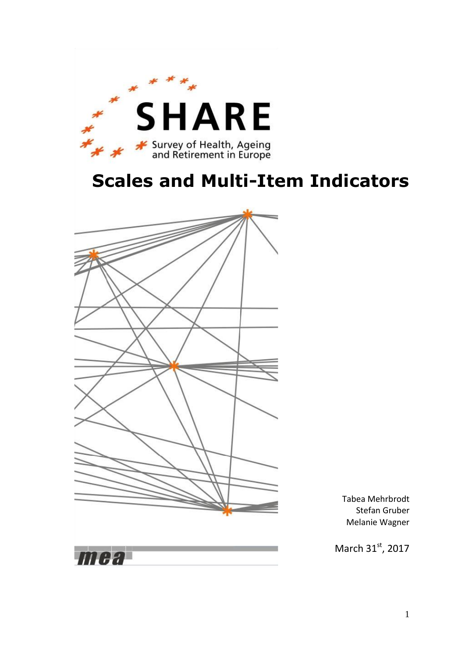

# **Scales and Multi-Item Indicators**



Tabea Mehrbrodt Stefan Gruber Melanie Wagner

March 31st, 2017

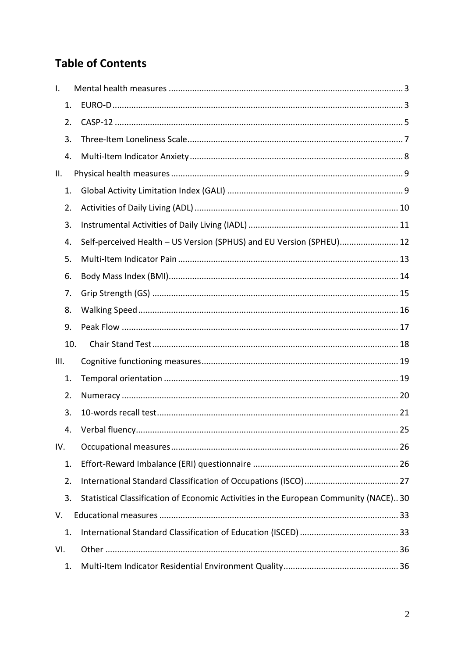# **Table of Contents**

<span id="page-1-0"></span>

| $\mathbf{I}$ . |     |                                                                                      |
|----------------|-----|--------------------------------------------------------------------------------------|
| 1.             |     |                                                                                      |
| 2.             |     |                                                                                      |
| 3.             |     |                                                                                      |
| 4.             |     |                                                                                      |
| II.            |     |                                                                                      |
| 1.             |     |                                                                                      |
| 2.             |     |                                                                                      |
| 3.             |     |                                                                                      |
| 4.             |     | Self-perceived Health - US Version (SPHUS) and EU Version (SPHEU) 12                 |
| 5.             |     |                                                                                      |
| 6.             |     |                                                                                      |
| 7.             |     |                                                                                      |
| 8.             |     |                                                                                      |
| 9.             |     |                                                                                      |
|                | 10. |                                                                                      |
| III.           |     |                                                                                      |
| 1.             |     |                                                                                      |
| 2.             |     |                                                                                      |
| 3.             |     |                                                                                      |
| 4.             |     | 25                                                                                   |
| IV.            |     |                                                                                      |
| 1.             |     |                                                                                      |
| 2.             |     |                                                                                      |
| 3.             |     | Statistical Classification of Economic Activities in the European Community (NACE)30 |
| V.             |     |                                                                                      |
| 1.             |     |                                                                                      |
| VI.            |     |                                                                                      |
| 1.             |     |                                                                                      |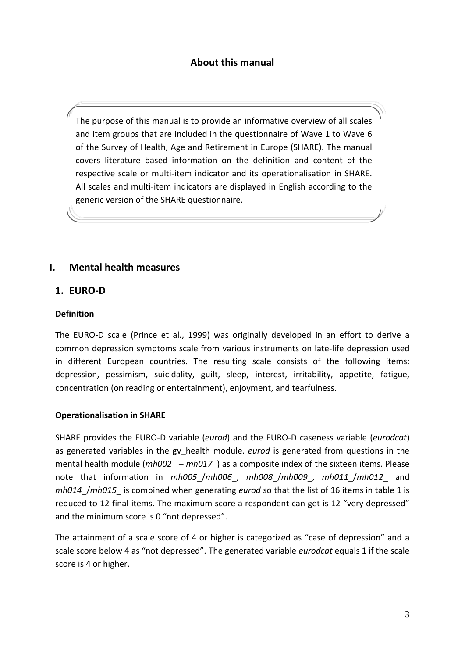# **About this manual**

The purpose of this manual is to provide an informative overview of all scales and item groups that are included in the questionnaire of Wave 1 to Wave 6 of the Survey of Health, Age and Retirement in Europe (SHARE). The manual covers literature based information on the definition and content of the respective scale or multi-item indicator and its operationalisation in SHARE. All scales and multi-item indicators are displayed in English according to the generic version of the SHARE questionnaire.

#### **I. Mental health measures**

#### <span id="page-2-0"></span>**1. EURO-D**

#### **Definition**

The EURO-D scale (Prince et al., 1999) was originally developed in an effort to derive a common depression symptoms scale from various instruments on late-life depression used in different European countries. The resulting scale consists of the following items: depression, pessimism, suicidality, guilt, sleep, interest, irritability, appetite, fatigue, concentration (on reading or entertainment), enjoyment, and tearfulness.

#### **Operationalisation in SHARE**

SHARE provides the EURO-D variable (*eurod*) and the EURO-D caseness variable (*eurodcat*) as generated variables in the gv\_health module. *eurod* is generated from questions in the mental health module (*mh002* – *mh017*) as a composite index of the sixteen items. Please note that information in *mh005*\_/*mh006*\_, *mh008*\_/*mh009*\_, *mh011*\_/*mh012*\_ and *mh014*\_/*mh015*\_ is combined when generating *eurod* so that the list of 16 items in table 1 is reduced to 12 final items. The maximum score a respondent can get is 12 "very depressed" and the minimum score is 0 "not depressed".

The attainment of a scale score of 4 or higher is categorized as "case of depression" and a scale score below 4 as "not depressed". The generated variable *eurodcat* equals 1 if the scale score is 4 or higher.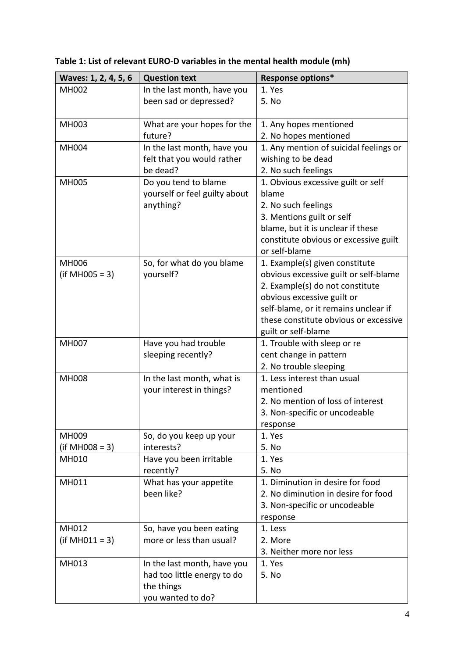| Waves: 1, 2, 4, 5, 6 | <b>Question text</b>          | Response options*                      |
|----------------------|-------------------------------|----------------------------------------|
| <b>MH002</b>         | In the last month, have you   | 1. Yes                                 |
|                      | been sad or depressed?        | 5. No                                  |
|                      |                               |                                        |
| MH003                | What are your hopes for the   | 1. Any hopes mentioned                 |
|                      | future?                       | 2. No hopes mentioned                  |
| <b>MH004</b>         | In the last month, have you   | 1. Any mention of suicidal feelings or |
|                      | felt that you would rather    | wishing to be dead                     |
|                      | be dead?                      | 2. No such feelings                    |
| <b>MH005</b>         | Do you tend to blame          | 1. Obvious excessive guilt or self     |
|                      | yourself or feel guilty about | blame                                  |
|                      | anything?                     | 2. No such feelings                    |
|                      |                               | 3. Mentions guilt or self              |
|                      |                               | blame, but it is unclear if these      |
|                      |                               | constitute obvious or excessive guilt  |
|                      |                               | or self-blame                          |
| <b>MH006</b>         | So, for what do you blame     | 1. Example(s) given constitute         |
| $(if MHO05 = 3)$     | yourself?                     | obvious excessive guilt or self-blame  |
|                      |                               | 2. Example(s) do not constitute        |
|                      |                               | obvious excessive guilt or             |
|                      |                               | self-blame, or it remains unclear if   |
|                      |                               | these constitute obvious or excessive  |
|                      |                               | guilt or self-blame                    |
| <b>MH007</b>         | Have you had trouble          | 1. Trouble with sleep or re            |
|                      | sleeping recently?            | cent change in pattern                 |
|                      |                               | 2. No trouble sleeping                 |
| <b>MH008</b>         | In the last month, what is    | 1. Less interest than usual            |
|                      | your interest in things?      | mentioned                              |
|                      |                               | 2. No mention of loss of interest      |
|                      |                               | 3. Non-specific or uncodeable          |
|                      |                               | response                               |
| MH009                | So, do you keep up your       | 1. Yes                                 |
| $(if MHO08 = 3)$     | interests?                    | 5. No                                  |
| MH010                | Have you been irritable       | 1. Yes                                 |
|                      | recently?                     | 5. No                                  |
| MH011                | What has your appetite        | 1. Diminution in desire for food       |
|                      | been like?                    | 2. No diminution in desire for food    |
|                      |                               | 3. Non-specific or uncodeable          |
|                      |                               | response                               |
| MH012                | So, have you been eating      | 1. Less                                |
| $(if MHO11 = 3)$     | more or less than usual?      | 2. More                                |
|                      |                               | 3. Neither more nor less               |
| MH013                | In the last month, have you   | 1. Yes                                 |
|                      | had too little energy to do   | 5. No                                  |
|                      | the things                    |                                        |
|                      | you wanted to do?             |                                        |

**Table 1: List of relevant EURO-D variables in the mental health module (mh)**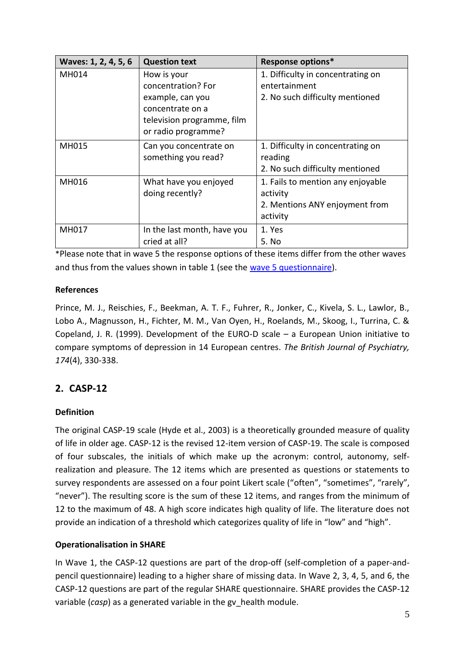| Waves: 1, 2, 4, 5, 6 | <b>Question text</b>                                                                                                           | <b>Response options*</b>                                                                    |
|----------------------|--------------------------------------------------------------------------------------------------------------------------------|---------------------------------------------------------------------------------------------|
| MH014                | How is your<br>concentration? For<br>example, can you<br>concentrate on a<br>television programme, film<br>or radio programme? | 1. Difficulty in concentrating on<br>entertainment<br>2. No such difficulty mentioned       |
| MH015                | Can you concentrate on<br>something you read?                                                                                  | 1. Difficulty in concentrating on<br>reading<br>2. No such difficulty mentioned             |
| MH016                | What have you enjoyed<br>doing recently?                                                                                       | 1. Fails to mention any enjoyable<br>activity<br>2. Mentions ANY enjoyment from<br>activity |
| MH017                | In the last month, have you<br>cried at all?                                                                                   | 1. Yes<br>5. No                                                                             |

\*Please note that in wave 5 the response options of these items differ from the other waves and thus from the values shown in table 1 (see the [wave 5 questionnaire\)](http://www.share-project.org/data-documentation/questionnaires/questionnaire-wave-5.html).

# **References**

Prince, M. J., Reischies, F., Beekman, A. T. F., Fuhrer, R., Jonker, C., Kivela, S. L., Lawlor, B., Lobo A., Magnusson, H., Fichter, M. M., Van Oyen, H., Roelands, M., Skoog, I., Turrina, C. & Copeland, J. R. (1999). Development of the EURO-D scale – a European Union initiative to compare symptoms of depression in 14 European centres. *The British Journal of Psychiatry, 174*(4), 330-338.

# <span id="page-4-0"></span>**2. CASP-12**

# **Definition**

The original CASP-19 scale (Hyde et al., 2003) is a theoretically grounded measure of quality of life in older age. CASP-12 is the revised 12-item version of CASP-19. The scale is composed of four subscales, the initials of which make up the acronym: control, autonomy, selfrealization and pleasure. The 12 items which are presented as questions or statements to survey respondents are assessed on a four point Likert scale ("often", "sometimes", "rarely", "never"). The resulting score is the sum of these 12 items, and ranges from the minimum of 12 to the maximum of 48. A high score indicates high quality of life. The literature does not provide an indication of a threshold which categorizes quality of life in "low" and "high".

#### **Operationalisation in SHARE**

In Wave 1, the CASP-12 questions are part of the drop-off (self-completion of a paper-andpencil questionnaire) leading to a higher share of missing data. In Wave 2, 3, 4, 5, and 6, the CASP-12 questions are part of the regular SHARE questionnaire. SHARE provides the CASP-12 variable (*casp*) as a generated variable in the gv\_health module.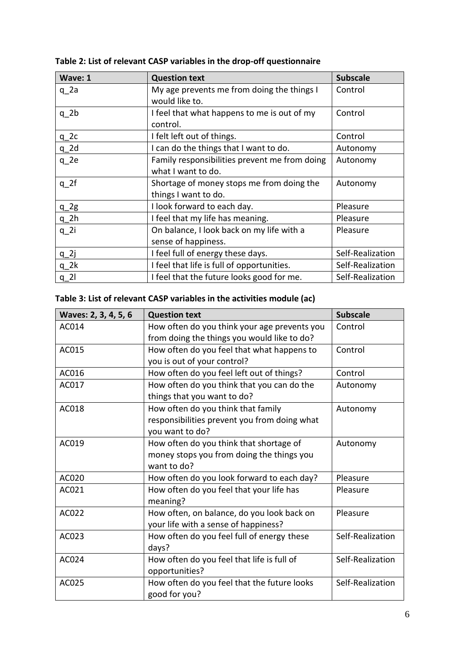| Wave: 1         | <b>Question text</b>                          | <b>Subscale</b>  |
|-----------------|-----------------------------------------------|------------------|
| $q$ 2a          | My age prevents me from doing the things I    | Control          |
|                 | would like to.                                |                  |
| $q$ 2 $b$       | I feel that what happens to me is out of my   | Control          |
|                 | control.                                      |                  |
| $q_2c$          | I felt left out of things.                    | Control          |
| $q_2d$          | I can do the things that I want to do.        | Autonomy         |
| q 2e            | Family responsibilities prevent me from doing | Autonomy         |
|                 | what I want to do.                            |                  |
| $q_2f$          | Shortage of money stops me from doing the     | Autonomy         |
|                 | things I want to do.                          |                  |
| $q_2g$          | I look forward to each day.                   | Pleasure         |
| $q_2$ h         | I feel that my life has meaning.              | Pleasure         |
| q <sub>2i</sub> | On balance, I look back on my life with a     | Pleasure         |
|                 | sense of happiness.                           |                  |
| $q_2$           | I feel full of energy these days.             | Self-Realization |
| $q$ 2 $k$       | I feel that life is full of opportunities.    | Self-Realization |
| $q_2$           | I feel that the future looks good for me.     | Self-Realization |

**Table 2: List of relevant CASP variables in the drop-off questionnaire**

# **Table 3: List of relevant CASP variables in the activities module (ac)**

| Waves: 2, 3, 4, 5, 6 | <b>Question text</b>                         | <b>Subscale</b>  |
|----------------------|----------------------------------------------|------------------|
| AC014                | How often do you think your age prevents you | Control          |
|                      | from doing the things you would like to do?  |                  |
| AC015                | How often do you feel that what happens to   | Control          |
|                      | you is out of your control?                  |                  |
| AC016                | How often do you feel left out of things?    | Control          |
| AC017                | How often do you think that you can do the   | Autonomy         |
|                      | things that you want to do?                  |                  |
| AC018                | How often do you think that family           | Autonomy         |
|                      | responsibilities prevent you from doing what |                  |
|                      | you want to do?                              |                  |
| AC019                | How often do you think that shortage of      | Autonomy         |
|                      | money stops you from doing the things you    |                  |
|                      | want to do?                                  |                  |
| AC020                | How often do you look forward to each day?   | Pleasure         |
| AC021                | How often do you feel that your life has     | Pleasure         |
|                      | meaning?                                     |                  |
| AC022                | How often, on balance, do you look back on   | Pleasure         |
|                      | your life with a sense of happiness?         |                  |
| AC023                | How often do you feel full of energy these   | Self-Realization |
|                      | days?                                        |                  |
| AC024                | How often do you feel that life is full of   | Self-Realization |
|                      | opportunities?                               |                  |
| AC025                | How often do you feel that the future looks  | Self-Realization |
|                      | good for you?                                |                  |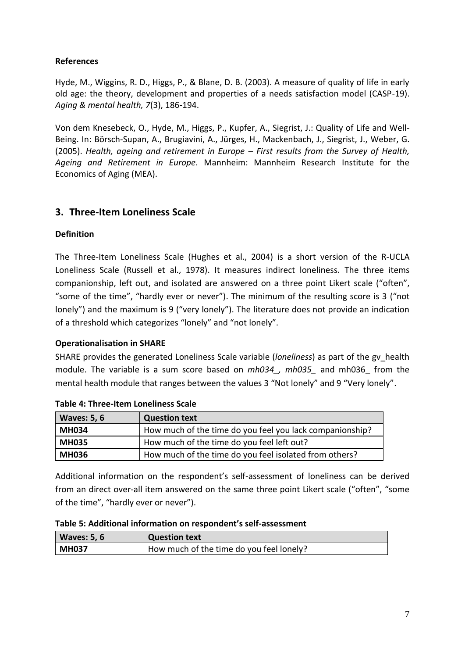Hyde, M., Wiggins, R. D., Higgs, P., & Blane, D. B. (2003). A measure of quality of life in early old age: the theory, development and properties of a needs satisfaction model (CASP-19). *Aging & mental health, 7*(3), 186-194.

Von dem Knesebeck, O., Hyde, M., Higgs, P., Kupfer, A., Siegrist, J.: Quality of Life and Well-Being. In: Börsch-Supan, A., Brugiavini, A., Jürges, H., Mackenbach, J., Siegrist, J., Weber, G. (2005). *Health, ageing and retirement in Europe – First results from the Survey of Health, Ageing and Retirement in Europe*. Mannheim: Mannheim Research Institute for the Economics of Aging (MEA).

# <span id="page-6-0"></span>**3. Three-Item Loneliness Scale**

#### **Definition**

The Three-Item Loneliness Scale (Hughes et al., 2004) is a short version of the R-UCLA Loneliness Scale (Russell et al., 1978). It measures indirect loneliness. The three items companionship, left out, and isolated are answered on a three point Likert scale ("often", "some of the time", "hardly ever or never"). The minimum of the resulting score is 3 ("not lonely") and the maximum is 9 ("very lonely"). The literature does not provide an indication of a threshold which categorizes "lonely" and "not lonely".

#### **Operationalisation in SHARE**

SHARE provides the generated Loneliness Scale variable (*loneliness*) as part of the gv\_health module. The variable is a sum score based on *mh034\_, mh035\_* and mh036\_ from the mental health module that ranges between the values 3 "Not lonely" and 9 "Very lonely".

| <b>Waves: 5, 6</b> | <b>Question text</b>                                     |
|--------------------|----------------------------------------------------------|
| <b>MH034</b>       | How much of the time do you feel you lack companionship? |
| <b>MH035</b>       | How much of the time do you feel left out?               |
| <b>MH036</b>       | How much of the time do you feel isolated from others?   |

Additional information on the respondent's self-assessment of loneliness can be derived from an direct over-all item answered on the same three point Likert scale ("often", "some of the time", "hardly ever or never").

| Table 5: Additional information on respondent's self-assessment |  |
|-----------------------------------------------------------------|--|
|-----------------------------------------------------------------|--|

| <b>Waves: 5, 6</b> | <b>Question text</b>                     |
|--------------------|------------------------------------------|
| <b>MH037</b>       | How much of the time do you feel lonely? |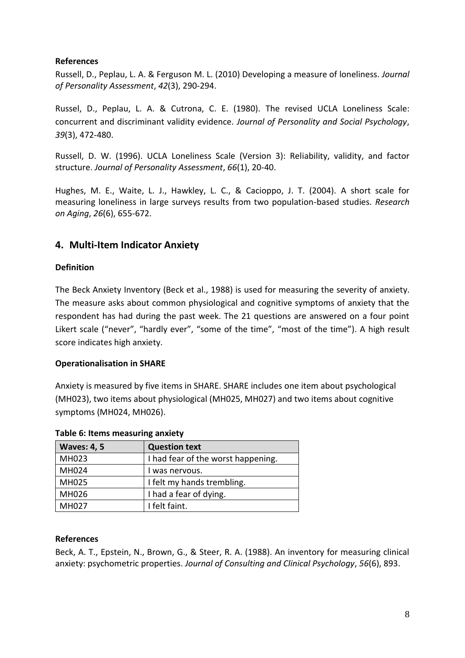Russell, D., Peplau, L. A. & Ferguson M. L. (2010) Developing a measure of loneliness. *Journal of Personality Assessment*, *42*(3), 290-294.

Russel, D., Peplau, L. A. & Cutrona, C. E. (1980). The revised UCLA Loneliness Scale: concurrent and discriminant validity evidence. *Journal of Personality and Social Psychology*, *39*(3), 472-480.

Russell, D. W. (1996). UCLA Loneliness Scale (Version 3): Reliability, validity, and factor structure. *Journal of Personality Assessment*, *66*(1), 20-40.

Hughes, M. E., Waite, L. J., Hawkley, L. C., & Cacioppo, J. T. (2004). A short scale for measuring loneliness in large surveys results from two population-based studies. *Research on Aging*, *26*(6), 655-672.

# <span id="page-7-0"></span>**4. Multi-Item Indicator Anxiety**

#### **Definition**

The Beck Anxiety Inventory (Beck et al., 1988) is used for measuring the severity of anxiety. The measure asks about common physiological and cognitive symptoms of anxiety that the respondent has had during the past week. The 21 questions are answered on a four point Likert scale ("never", "hardly ever", "some of the time", "most of the time"). A high result score indicates high anxiety.

#### **Operationalisation in SHARE**

Anxiety is measured by five items in SHARE. SHARE includes one item about psychological (MH023), two items about physiological (MH025, MH027) and two items about cognitive symptoms (MH024, MH026).

| <b>Waves: 4, 5</b> | <b>Question text</b>               |  |  |
|--------------------|------------------------------------|--|--|
| MH023              | I had fear of the worst happening. |  |  |
| MH024              | I was nervous.                     |  |  |
| MH025              | I felt my hands trembling.         |  |  |
| MH026              | I had a fear of dying.             |  |  |
| MH027              | I felt faint.                      |  |  |

#### **Table 6: Items measuring anxiety**

#### **References**

Beck, A. T., Epstein, N., Brown, G., & Steer, R. A. (1988). An inventory for measuring clinical anxiety: psychometric properties. *Journal of Consulting and Clinical Psychology*, *56*(6), 893.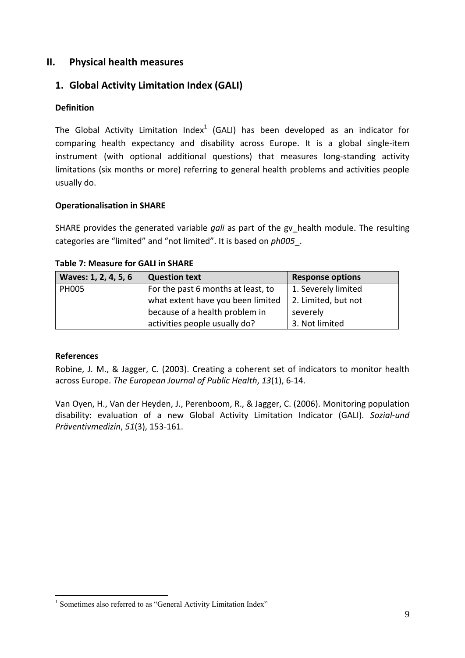# <span id="page-8-0"></span>**II. Physical health measures**

# <span id="page-8-1"></span>**1. Global Activity Limitation Index (GALI)**

### **Definition**

The Global Activity Limitation Index<sup>1</sup> (GALI) has been developed as an indicator for comparing health expectancy and disability across Europe. It is a global single-item instrument (with optional additional questions) that measures long-standing activity limitations (six months or more) referring to general health problems and activities people usually do.

#### **Operationalisation in SHARE**

SHARE provides the generated variable *gali* as part of the gv\_health module. The resulting categories are "limited" and "not limited". It is based on *ph005*\_.

| Waves: 1, 2, 4, 5, 6 | <b>Question text</b>               | <b>Response options</b> |
|----------------------|------------------------------------|-------------------------|
| <b>PH005</b>         | For the past 6 months at least, to | 1. Severely limited     |
|                      | what extent have you been limited  | 2. Limited, but not     |
|                      | because of a health problem in     | severely                |
|                      | activities people usually do?      | 3. Not limited          |

#### **Table 7: Measure for GALI in SHARE**

#### **References**

1

Robine, J. M., & Jagger, C. (2003). Creating a coherent set of indicators to monitor health across Europe. *The European Journal of Public Health*, *13*(1), 6-14.

Van Oyen, H., Van der Heyden, J., Perenboom, R., & Jagger, C. (2006). Monitoring population disability: evaluation of a new Global Activity Limitation Indicator (GALI). *Sozial-und Präventivmedizin*, *51*(3), 153-161.

<sup>&</sup>lt;sup>1</sup> Sometimes also referred to as "General Activity Limitation Index"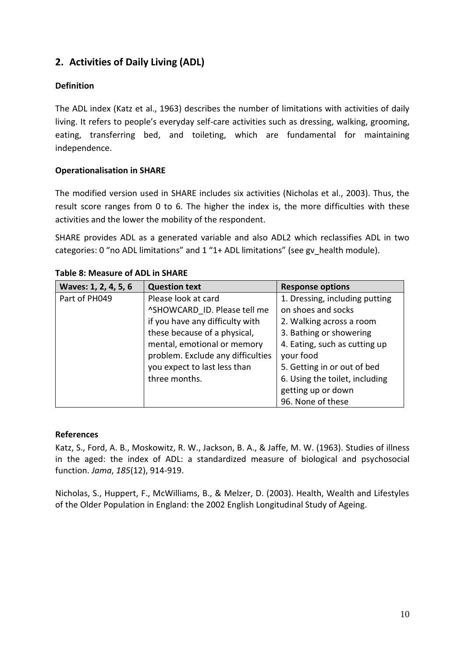# <span id="page-9-0"></span>**2. Activities of Daily Living (ADL)**

#### **Definition**

The ADL index (Katz et al., 1963) describes the number of limitations with activities of daily living. It refers to people's everyday self-care activities such as dressing, walking, grooming, eating, transferring bed, and toileting, which are fundamental for maintaining independence.

#### **Operationalisation in SHARE**

The modified version used in SHARE includes six activities (Nicholas et al., 2003). Thus, the result score ranges from 0 to 6. The higher the index is, the more difficulties with these activities and the lower the mobility of the respondent.

SHARE provides ADL as a generated variable and also ADL2 which reclassifies ADL in two categories: 0 "no ADL limitations" and 1 "1+ ADL limitations" (see gv\_health module).

| Waves: 1, 2, 4, 5, 6 | <b>Question text</b>              | <b>Response options</b>        |
|----------------------|-----------------------------------|--------------------------------|
| Part of PH049        | Please look at card               | 1. Dressing, including putting |
|                      | ^SHOWCARD ID. Please tell me      | on shoes and socks             |
|                      | if you have any difficulty with   | 2. Walking across a room       |
|                      | these because of a physical,      | 3. Bathing or showering        |
|                      | mental, emotional or memory       | 4. Eating, such as cutting up  |
|                      | problem. Exclude any difficulties | your food                      |
|                      | you expect to last less than      | 5. Getting in or out of bed    |
|                      | three months.                     | 6. Using the toilet, including |
|                      |                                   | getting up or down             |
|                      |                                   | 96. None of these              |

#### **Table 8: Measure of ADL in SHARE**

#### **References**

Katz, S., Ford, A. B., Moskowitz, R. W., Jackson, B. A., & Jaffe, M. W. (1963). Studies of illness in the aged: the index of ADL: a standardized measure of biological and psychosocial function. *Jama*, *185*(12), 914-919.

Nicholas, S., Huppert, F., McWilliams, B., & Melzer, D. (2003). Health, Wealth and Lifestyles of the Older Population in England: the 2002 English Longitudinal Study of Ageing.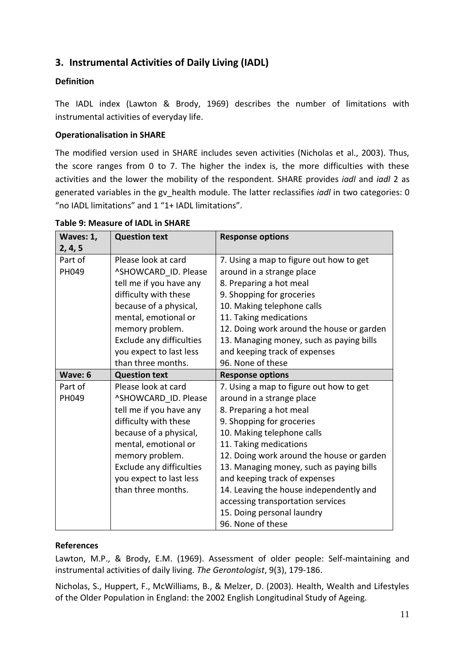# <span id="page-10-0"></span>**3. Instrumental Activities of Daily Living (IADL)**

#### **Definition**

The IADL index (Lawton & Brody, 1969) describes the number of limitations with instrumental activities of everyday life.

#### **Operationalisation in SHARE**

The modified version used in SHARE includes seven activities (Nicholas et al., 2003). Thus, the score ranges from 0 to 7. The higher the index is, the more difficulties with these activities and the lower the mobility of the respondent. SHARE provides *iadl* and *iadl* 2 as generated variables in the gv\_health module. The latter reclassifies *iadl* in two categories: 0 "no IADL limitations" and 1 "1+ IADL limitations".

| Waves: 1, | <b>Question text</b>     | <b>Response options</b>                   |
|-----------|--------------------------|-------------------------------------------|
| 2, 4, 5   |                          |                                           |
| Part of   | Please look at card      | 7. Using a map to figure out how to get   |
| PH049     | ^SHOWCARD_ID. Please     | around in a strange place                 |
|           | tell me if you have any  | 8. Preparing a hot meal                   |
|           | difficulty with these    | 9. Shopping for groceries                 |
|           | because of a physical,   | 10. Making telephone calls                |
|           | mental, emotional or     | 11. Taking medications                    |
|           | memory problem.          | 12. Doing work around the house or garden |
|           | Exclude any difficulties | 13. Managing money, such as paying bills  |
|           | you expect to last less  | and keeping track of expenses             |
|           | than three months.       | 96. None of these                         |
| Wave: 6   | <b>Question text</b>     | <b>Response options</b>                   |
| Part of   | Please look at card      | 7. Using a map to figure out how to get   |
| PH049     | ^SHOWCARD ID. Please     | around in a strange place                 |
|           | tell me if you have any  | 8. Preparing a hot meal                   |
|           | difficulty with these    | 9. Shopping for groceries                 |
|           | because of a physical,   | 10. Making telephone calls                |
|           | mental, emotional or     | 11. Taking medications                    |
|           | memory problem.          | 12. Doing work around the house or garden |
|           | Exclude any difficulties | 13. Managing money, such as paying bills  |
|           | you expect to last less  | and keeping track of expenses             |
|           | than three months.       | 14. Leaving the house independently and   |
|           |                          | accessing transportation services         |
|           |                          | 15. Doing personal laundry                |
|           |                          | 96. None of these                         |

#### **Table 9: Measure of IADL in SHARE**

#### **References**

Lawton, M.P., & Brody, E.M. (1969). Assessment of older people: Self-maintaining and instrumental activities of daily living. *The Gerontologist*, 9(3), 179-186.

Nicholas, S., Huppert, F., McWilliams, B., & Melzer, D. (2003). Health, Wealth and Lifestyles of the Older Population in England: the 2002 English Longitudinal Study of Ageing.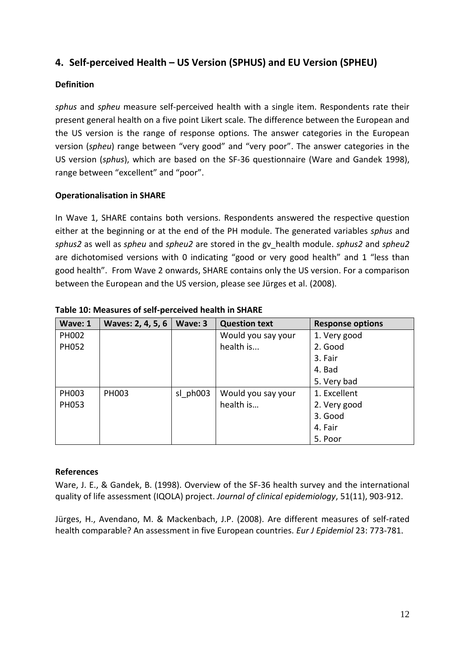# <span id="page-11-0"></span>**4. Self-perceived Health – US Version (SPHUS) and EU Version (SPHEU)**

### **Definition**

*sphus* and *spheu* measure self-perceived health with a single item. Respondents rate their present general health on a five point Likert scale. The difference between the European and the US version is the range of response options. The answer categories in the European version (*spheu*) range between "very good" and "very poor". The answer categories in the US version (*sphus*), which are based on the SF-36 questionnaire (Ware and Gandek 1998), range between "excellent" and "poor".

#### **Operationalisation in SHARE**

In Wave 1, SHARE contains both versions. Respondents answered the respective question either at the beginning or at the end of the PH module. The generated variables *sphus* and *sphus2* as well as *spheu* and *spheu2* are stored in the gv\_health module. *sphus2* and *spheu2*  are dichotomised versions with 0 indicating "good or very good health" and 1 "less than good health". From Wave 2 onwards, SHARE contains only the US version. For a comparison between the European and the US version, please see Jürges et al. (2008).

| Wave: 1 | Waves: 2, 4, 5, 6 | Wave: 3  | <b>Question text</b> | <b>Response options</b> |
|---------|-------------------|----------|----------------------|-------------------------|
| PH002   |                   |          | Would you say your   | 1. Very good            |
| PH052   |                   |          | health is            | 2. Good                 |
|         |                   |          |                      | 3. Fair                 |
|         |                   |          |                      | 4. Bad                  |
|         |                   |          |                      | 5. Very bad             |
| PH003   | <b>PH003</b>      | sl ph003 | Would you say your   | 1. Excellent            |
| PH053   |                   |          | health is            | 2. Very good            |
|         |                   |          |                      | 3. Good                 |
|         |                   |          |                      | 4. Fair                 |
|         |                   |          |                      | 5. Poor                 |

**Table 10: Measures of self-perceived health in SHARE**

# **References**

Ware, J. E., & Gandek, B. (1998). Overview of the SF-36 health survey and the international quality of life assessment (IQOLA) project. *Journal of clinical epidemiology*, 51(11), 903-912.

Jürges, H., Avendano, M. & Mackenbach, J.P. (2008). Are different measures of self-rated health comparable? An assessment in five European countries. *Eur J Epidemiol* 23: 773-781.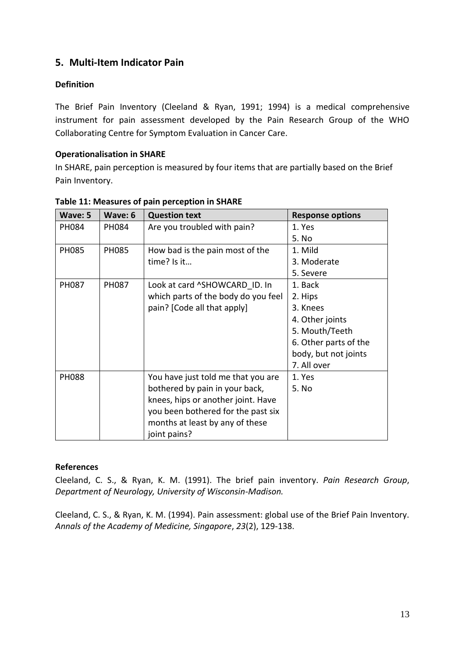# <span id="page-12-0"></span>**5. Multi-Item Indicator Pain**

#### **Definition**

The Brief Pain Inventory (Cleeland & Ryan, 1991; 1994) is a medical comprehensive instrument for pain assessment developed by the Pain Research Group of the WHO Collaborating Centre for Symptom Evaluation in Cancer Care.

#### **Operationalisation in SHARE**

In SHARE, pain perception is measured by four items that are partially based on the Brief Pain Inventory.

| Wave: 5      | Wave: 6      | <b>Question text</b>                | <b>Response options</b> |
|--------------|--------------|-------------------------------------|-------------------------|
| PH084        | PH084        | Are you troubled with pain?         | 1. Yes                  |
|              |              |                                     | 5. No                   |
| PH085        | <b>PH085</b> | How bad is the pain most of the     | 1. Mild                 |
|              |              | time? Is it                         | 3. Moderate             |
|              |              |                                     | 5. Severe               |
| PH087        | PH087        | Look at card ^SHOWCARD ID. In       | 1. Back                 |
|              |              | which parts of the body do you feel | 2. Hips                 |
|              |              | pain? [Code all that apply]         | 3. Knees                |
|              |              |                                     | 4. Other joints         |
|              |              |                                     | 5. Mouth/Teeth          |
|              |              |                                     | 6. Other parts of the   |
|              |              |                                     | body, but not joints    |
|              |              |                                     | 7. All over             |
| <b>PH088</b> |              | You have just told me that you are  | 1. Yes                  |
|              |              | bothered by pain in your back,      | 5. No                   |
|              |              | knees, hips or another joint. Have  |                         |
|              |              | you been bothered for the past six  |                         |
|              |              | months at least by any of these     |                         |
|              |              | joint pains?                        |                         |

#### **Table 11: Measures of pain perception in SHARE**

#### **References**

Cleeland, C. S., & Ryan, K. M. (1991). The brief pain inventory. *Pain Research Group*, *Department of Neurology, University of Wisconsin-Madison.*

Cleeland, C. S., & Ryan, K. M. (1994). Pain assessment: global use of the Brief Pain Inventory. *Annals of the Academy of Medicine, Singapore*, *23*(2), 129-138.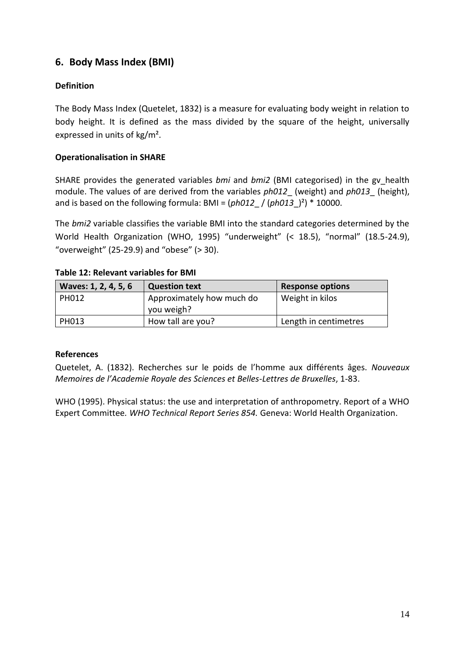# <span id="page-13-0"></span>**6. Body Mass Index (BMI)**

# **Definition**

The Body Mass Index (Quetelet, 1832) is a measure for evaluating body weight in relation to body height. It is defined as the mass divided by the square of the height, universally expressed in units of kg/m².

### **Operationalisation in SHARE**

SHARE provides the generated variables *bmi* and *bmi2* (BMI categorised) in the gv\_health module. The values of are derived from the variables *ph012*\_ (weight) and *ph013*\_ (height), and is based on the following formula: BMI =  $(ph012 / (ph013)^2)$ <sup>\*</sup> 10000.

The *bmi2* variable classifies the variable BMI into the standard categories determined by the World Health Organization (WHO, 1995) "underweight" (< 18.5), "normal" (18.5-24.9), "overweight" (25-29.9) and "obese"  $($  > 30).

| Waves: 1, 2, 4, 5, 6 | <b>Question text</b>                    | <b>Response options</b> |
|----------------------|-----------------------------------------|-------------------------|
| <b>PH012</b>         | Approximately how much do<br>you weigh? | Weight in kilos         |
| PH013                | How tall are you?                       | Length in centimetres   |

#### **Table 12: Relevant variables for BMI**

#### **References**

Quetelet, A. (1832). Recherches sur le poids de l'homme aux différents âges. *Nouveaux Memoires de l'Academie Royale des Sciences et Belles-Lettres de Bruxelles*, 1-83.

WHO [\(1995\). Physical status: the use and interpretation of anthropometry. Report of a WHO](http://whqlibdoc.who.int/trs/WHO_TRS_854.pdf)  Expert Committee*[. WHO Technical Report Series 854.](http://whqlibdoc.who.int/trs/WHO_TRS_854.pdf)* Geneva: World Health Organization.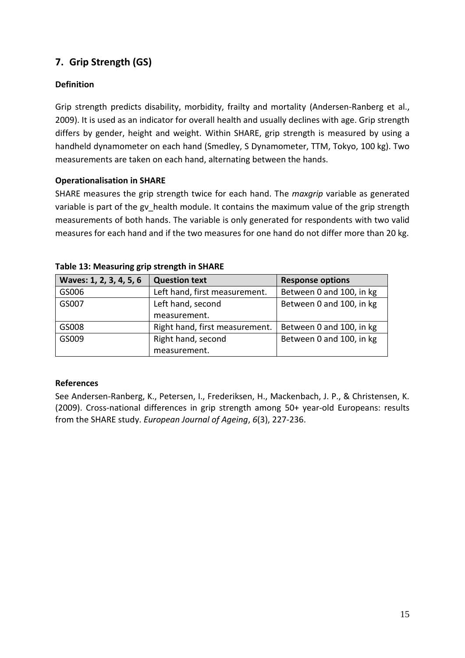# <span id="page-14-0"></span>**7. Grip Strength (GS)**

# **Definition**

Grip strength predicts disability, morbidity, frailty and mortality (Andersen-Ranberg et al., 2009). It is used as an indicator for overall health and usually declines with age. Grip strength differs by gender, height and weight. Within SHARE, grip strength is measured by using a handheld dynamometer on each hand (Smedley, S Dynamometer, TTM, Tokyo, 100 kg). Two measurements are taken on each hand, alternating between the hands.

#### **Operationalisation in SHARE**

SHARE measures the grip strength twice for each hand. The *maxgrip* variable as generated variable is part of the gv\_health module. It contains the maximum value of the grip strength measurements of both hands. The variable is only generated for respondents with two valid measures for each hand and if the two measures for one hand do not differ more than 20 kg.

| Waves: 1, 2, 3, 4, 5, 6 | <b>Question text</b>           | <b>Response options</b>  |
|-------------------------|--------------------------------|--------------------------|
| GS006                   | Left hand, first measurement.  | Between 0 and 100, in kg |
| GS007                   | Left hand, second              | Between 0 and 100, in kg |
|                         | measurement.                   |                          |
| GS008                   | Right hand, first measurement. | Between 0 and 100, in kg |
| GS009                   | Right hand, second             | Between 0 and 100, in kg |
|                         | measurement.                   |                          |

#### **Table 13: Measuring grip strength in SHARE**

#### **References**

See Andersen-Ranberg, K., Petersen, I., Frederiksen, H., Mackenbach, J. P., & Christensen, K. (2009). Cross-national differences in grip strength among 50+ year-old Europeans: results from the SHARE study. *European Journal of Ageing*, *6*(3), 227-236.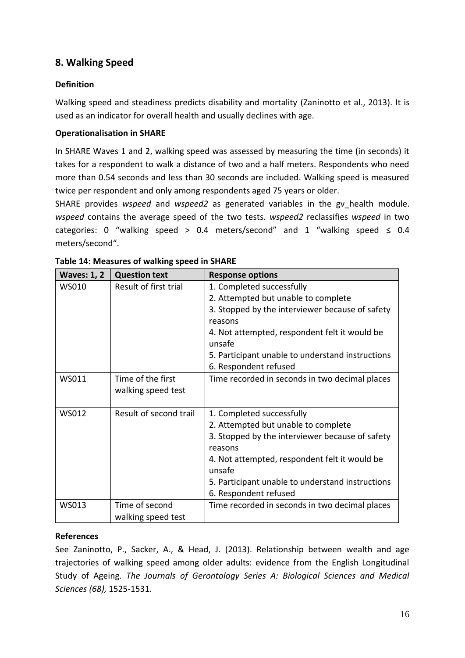# <span id="page-15-0"></span>**8. Walking Speed**

### **Definition**

Walking speed and steadiness predicts disability and mortality (Zaninotto et al., 2013). It is used as an indicator for overall health and usually declines with age.

#### **Operationalisation in SHARE**

In SHARE Waves 1 and 2, walking speed was assessed by measuring the time (in seconds) it takes for a respondent to walk a distance of two and a half meters. Respondents who need more than 0.54 seconds and less than 30 seconds are included. Walking speed is measured twice per respondent and only among respondents aged 75 years or older.

SHARE provides *wspeed* and *wspeed2* as generated variables in the gv\_health module. *wspeed* contains the average speed of the two tests. *wspeed2* reclassifies *wspeed* in two categories: 0 "walking speed > 0.4 meters/second" and 1 "walking speed  $\leq$  0.4 meters/second".

| <b>Waves: 1, 2</b> | <b>Question text</b>   | <b>Response options</b>                                 |
|--------------------|------------------------|---------------------------------------------------------|
| WS010              | Result of first trial  | 1. Completed successfully                               |
|                    |                        | 2. Attempted but unable to complete                     |
|                    |                        | 3. Stopped by the interviewer because of safety         |
|                    |                        | reasons                                                 |
|                    |                        | 4. Not attempted, respondent felt it would be<br>unsafe |
|                    |                        | 5. Participant unable to understand instructions        |
|                    |                        | 6. Respondent refused                                   |
| WS011              | Time of the first      | Time recorded in seconds in two decimal places          |
|                    | walking speed test     |                                                         |
|                    |                        |                                                         |
| WS012              | Result of second trail | 1. Completed successfully                               |
|                    |                        | 2. Attempted but unable to complete                     |
|                    |                        | 3. Stopped by the interviewer because of safety         |
|                    |                        | reasons                                                 |
|                    |                        | 4. Not attempted, respondent felt it would be           |
|                    |                        | unsafe                                                  |
|                    |                        | 5. Participant unable to understand instructions        |
|                    |                        | 6. Respondent refused                                   |
| WS013              | Time of second         | Time recorded in seconds in two decimal places          |
|                    | walking speed test     |                                                         |

| Table 14: Measures of walking speed in SHARE |  |  |  |
|----------------------------------------------|--|--|--|
|----------------------------------------------|--|--|--|

# **References**

See Zaninotto, P., Sacker, A., & Head, J. (2013). Relationship between wealth and age trajectories of walking speed among older adults: evidence from the English Longitudinal Study of Ageing. *The Journals of Gerontology Series A: Biological Sciences and Medical Sciences (68),* 1525*-*1531.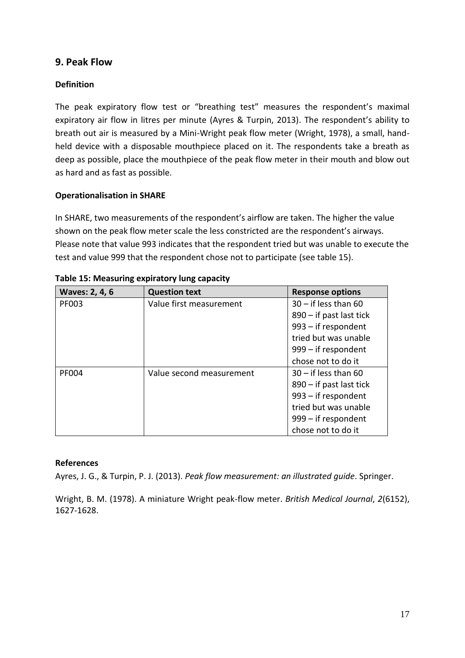# <span id="page-16-0"></span>**9. Peak Flow**

#### **Definition**

The peak expiratory flow test or "breathing test" measures the respondent's maximal expiratory air flow in litres per minute (Ayres & Turpin, 2013). The respondent's ability to breath out air is measured by a Mini-Wright peak flow meter (Wright, 1978), a small, handheld device with a disposable mouthpiece placed on it. The respondents take a breath as deep as possible, place the mouthpiece of the peak flow meter in their mouth and blow out as hard and as fast as possible.

#### **Operationalisation in SHARE**

In SHARE, two measurements of the respondent's airflow are taken. The higher the value shown on the peak flow meter scale the less constricted are the respondent's airways. Please note that value 993 indicates that the respondent tried but was unable to execute the test and value 999 that the respondent chose not to participate (see table 15).

| Waves: 2, 4, 6 | <b>Question text</b>     | <b>Response options</b>   |
|----------------|--------------------------|---------------------------|
| <b>PF003</b>   | Value first measurement  | $30 - if$ less than 60    |
|                |                          | $890 - if$ past last tick |
|                |                          | 993 - if respondent       |
|                |                          | tried but was unable      |
|                |                          | 999 – if respondent       |
|                |                          | chose not to do it        |
| <b>PF004</b>   | Value second measurement | $30 - if$ less than 60    |
|                |                          | $890 - if$ past last tick |
|                |                          | $993 - if$ respondent     |
|                |                          | tried but was unable      |
|                |                          | 999 – if respondent       |
|                |                          | chose not to do it        |

|  | Table 15: Measuring expiratory lung capacity |  |  |  |
|--|----------------------------------------------|--|--|--|
|--|----------------------------------------------|--|--|--|

#### **References**

Ayres, J. G., & Turpin, P. J. (2013). *Peak flow measurement: an illustrated guide*. Springer.

Wright, B. M. (1978). A miniature Wright peak-flow meter. *British Medical Journal*, *2*(6152), 1627-1628.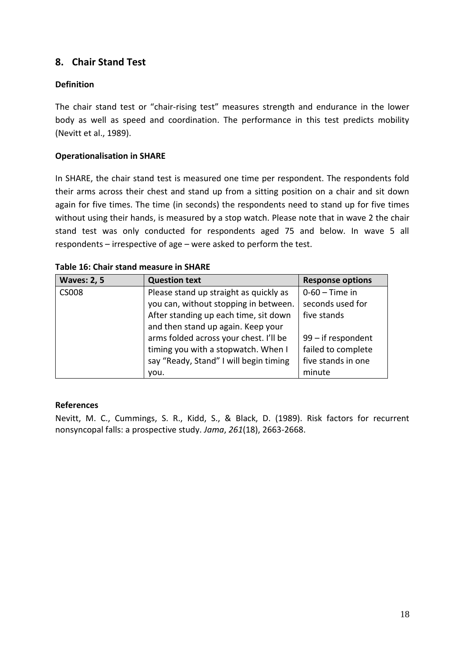# <span id="page-17-0"></span>**8. Chair Stand Test**

#### **Definition**

The chair stand test or "chair-rising test" measures strength and endurance in the lower body as well as speed and coordination. The performance in this test predicts mobility (Nevitt et al., 1989).

#### **Operationalisation in SHARE**

In SHARE, the chair stand test is measured one time per respondent. The respondents fold their arms across their chest and stand up from a sitting position on a chair and sit down again for five times. The time (in seconds) the respondents need to stand up for five times without using their hands, is measured by a stop watch. Please note that in wave 2 the chair stand test was only conducted for respondents aged 75 and below. In wave 5 all respondents – irrespective of age – were asked to perform the test.

| <b>Waves: 2, 5</b> | <b>Question text</b>                   | <b>Response options</b> |
|--------------------|----------------------------------------|-------------------------|
| <b>CS008</b>       | Please stand up straight as quickly as | $0-60$ – Time in        |
|                    | you can, without stopping in between.  | seconds used for        |
|                    | After standing up each time, sit down  | five stands             |
|                    | and then stand up again. Keep your     |                         |
|                    | arms folded across your chest. I'll be | $99$ – if respondent    |
|                    | timing you with a stopwatch. When I    | failed to complete      |
|                    | say "Ready, Stand" I will begin timing | five stands in one      |
|                    | you.                                   | minute                  |

**Table 16: Chair stand measure in SHARE**

#### **References**

Nevitt, M. C., Cummings, S. R., Kidd, S., & Black, D. (1989). Risk factors for recurrent nonsyncopal falls: a prospective study. *Jama*, *261*(18), 2663-2668.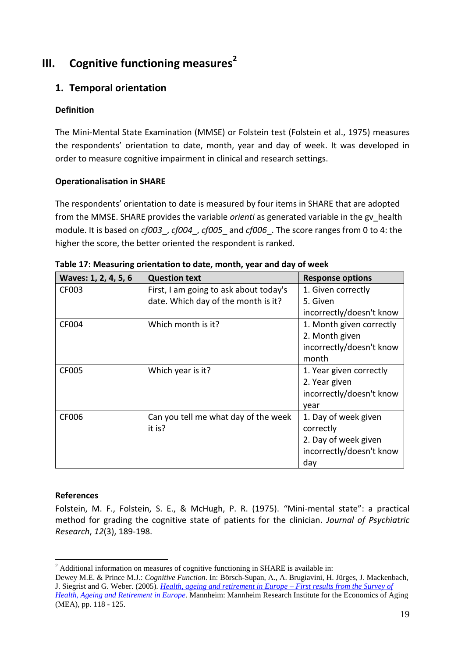# <span id="page-18-0"></span>**III. Cognitive functioning measures<sup>2</sup>**

# <span id="page-18-1"></span>**1. Temporal orientation**

### **Definition**

The Mini-Mental State Examination (MMSE) or Folstein test (Folstein et al., 1975) measures the respondents' orientation to date, month, year and day of week. It was developed in order to measure cognitive impairment in clinical and research settings.

#### **Operationalisation in SHARE**

The respondents' orientation to date is measured by four items in SHARE that are adopted from the MMSE. SHARE provides the variable *orienti* as generated variable in the gv\_health module. It is based on *cf003*\_, *cf004*\_, *cf005*\_ and *cf006*\_. The score ranges from 0 to 4: the higher the score, the better oriented the respondent is ranked.

| Waves: 1, 2, 4, 5, 6 | <b>Question text</b>                   | <b>Response options</b>  |
|----------------------|----------------------------------------|--------------------------|
| CF003                | First, I am going to ask about today's | 1. Given correctly       |
|                      | date. Which day of the month is it?    | 5. Given                 |
|                      |                                        | incorrectly/doesn't know |
| <b>CF004</b>         | Which month is it?                     | 1. Month given correctly |
|                      |                                        | 2. Month given           |
|                      |                                        | incorrectly/doesn't know |
|                      |                                        | month                    |
| CF005                | Which year is it?                      | 1. Year given correctly  |
|                      |                                        | 2. Year given            |
|                      |                                        | incorrectly/doesn't know |
|                      |                                        | year                     |
| CF006                | Can you tell me what day of the week   | 1. Day of week given     |
|                      | it is?                                 | correctly                |
|                      |                                        | 2. Day of week given     |
|                      |                                        | incorrectly/doesn't know |
|                      |                                        | day                      |

**Table 17: Measuring orientation to date, month, year and day of week**

#### **References**

Folstein, M. F., Folstein, S. E., & McHugh, P. R. (1975). "Mini-mental state": a practical method for grading the cognitive state of patients for the clinician. *Journal of Psychiatric Research*, *12*(3), 189-198.

<sup>&</sup>lt;u>.</u> <sup>2</sup> Additional information on measures of cognitive functioning in SHARE is available in:

Dewey M.E. & Prince M.J.: *Cognitive Function*. In: Börsch-Supan, A., A. Brugiavini, H. Jürges, J. Mackenbach, J. Siegrist and G. Weber. (2005)*. [Health, ageing and retirement in Europe –](http://www.share-project.org/uploads/tx_sharepublications/SHARE_FirstResultsBookWave1.pdf) First results from the Survey of [Health, Ageing and Retirement in Europe.](http://www.share-project.org/uploads/tx_sharepublications/SHARE_FirstResultsBookWave1.pdf)* Mannheim: Mannheim Research Institute for the Economics of Aging (MEA), pp. 118 - 125.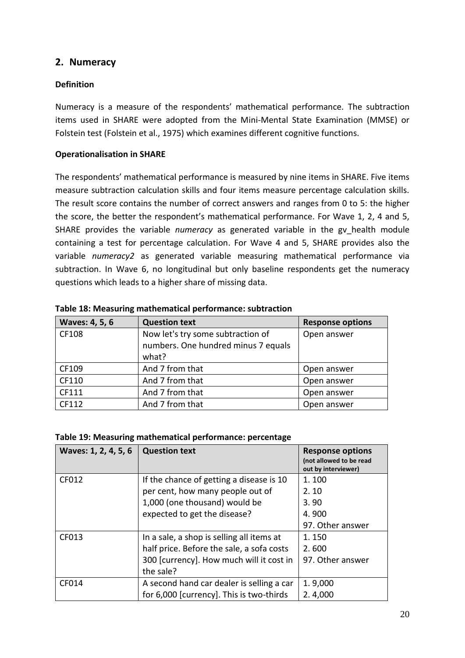# <span id="page-19-0"></span>**2. Numeracy**

#### **Definition**

Numeracy is a measure of the respondents' mathematical performance. The subtraction items used in SHARE were adopted from the Mini-Mental State Examination (MMSE) or Folstein test (Folstein et al., 1975) which examines different cognitive functions.

#### **Operationalisation in SHARE**

The respondents' mathematical performance is measured by nine items in SHARE. Five items measure subtraction calculation skills and four items measure percentage calculation skills. The result score contains the number of correct answers and ranges from 0 to 5: the higher the score, the better the respondent's mathematical performance. For Wave 1, 2, 4 and 5, SHARE provides the variable *numeracy* as generated variable in the gv health module containing a test for percentage calculation. For Wave 4 and 5, SHARE provides also the variable *numeracy2* as generated variable measuring mathematical performance via subtraction. In Wave 6, no longitudinal but only baseline respondents get the numeracy questions which leads to a higher share of missing data.

| Waves: 4, 5, 6 | <b>Question text</b>                                                              | <b>Response options</b> |
|----------------|-----------------------------------------------------------------------------------|-------------------------|
| CF108          | Now let's try some subtraction of<br>numbers. One hundred minus 7 equals<br>what? | Open answer             |
| CF109          | And 7 from that                                                                   | Open answer             |
| CF110          | And 7 from that                                                                   | Open answer             |
| CF111          | And 7 from that                                                                   | Open answer             |
| CF112          | And 7 from that                                                                   | Open answer             |

#### **Table 18: Measuring mathematical performance: subtraction**

#### **Table 19: Measuring mathematical performance: percentage**

| Waves: 1, 2, 4, 5, 6 | <b>Question text</b>                      | <b>Response options</b><br>(not allowed to be read<br>out by interviewer) |
|----------------------|-------------------------------------------|---------------------------------------------------------------------------|
| CF012                | If the chance of getting a disease is 10  | 1.100                                                                     |
|                      | per cent, how many people out of          | 2.10                                                                      |
|                      | 1,000 (one thousand) would be             | 3.90                                                                      |
|                      | expected to get the disease?              | 4.900                                                                     |
|                      |                                           | 97. Other answer                                                          |
| CF013                | In a sale, a shop is selling all items at | 1.150                                                                     |
|                      | half price. Before the sale, a sofa costs | 2.600                                                                     |
|                      | 300 [currency]. How much will it cost in  | 97. Other answer                                                          |
|                      | the sale?                                 |                                                                           |
| CF014                | A second hand car dealer is selling a car | 1.9,000                                                                   |
|                      | for 6,000 [currency]. This is two-thirds  | 2.4,000                                                                   |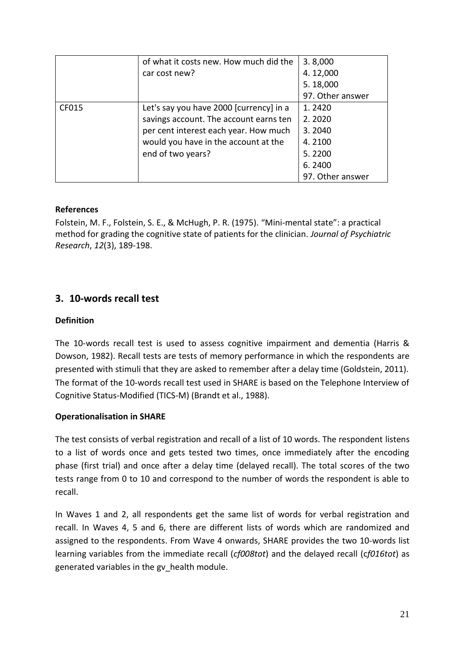|       | of what it costs new. How much did the  | 3.8,000          |
|-------|-----------------------------------------|------------------|
|       | car cost new?                           | 4.12,000         |
|       |                                         | 5.18,000         |
|       |                                         | 97. Other answer |
| CF015 | Let's say you have 2000 [currency] in a | 1.2420           |
|       | savings account. The account earns ten  | 2.2020           |
|       | per cent interest each year. How much   | 3.2040           |
|       | would you have in the account at the    | 4.2100           |
|       | end of two years?                       | 5.2200           |
|       |                                         | 6.2400           |
|       |                                         | 97. Other answer |

Folstein, M. F., Folstein, S. E., & McHugh, P. R. (1975). "Mini-mental state": a practical method for grading the cognitive state of patients for the clinician. *Journal of Psychiatric Research*, *12*(3), 189-198.

# <span id="page-20-0"></span>**3. 10-words recall test**

#### **Definition**

The 10-words recall test is used to assess cognitive impairment and dementia (Harris & Dowson, 1982). Recall tests are tests of memory performance in which the respondents are presented with stimuli that they are asked to remember after a delay time (Goldstein, 2011). The format of the 10-words recall test used in SHARE is based on the Telephone Interview of Cognitive Status-Modified (TICS-M) (Brandt et al., 1988).

#### **Operationalisation in SHARE**

The test consists of verbal registration and recall of a list of 10 words. The respondent listens to a list of words once and gets tested two times, once immediately after the encoding phase (first trial) and once after a delay time (delayed recall). The total scores of the two tests range from 0 to 10 and correspond to the number of words the respondent is able to recall.

In Waves 1 and 2, all respondents get the same list of words for verbal registration and recall. In Waves 4, 5 and 6, there are different lists of words which are randomized and assigned to the respondents. From Wave 4 onwards, SHARE provides the two 10-words list learning variables from the immediate recall (*cf008tot*) and the delayed recall (c*f016tot*) as generated variables in the gv\_health module.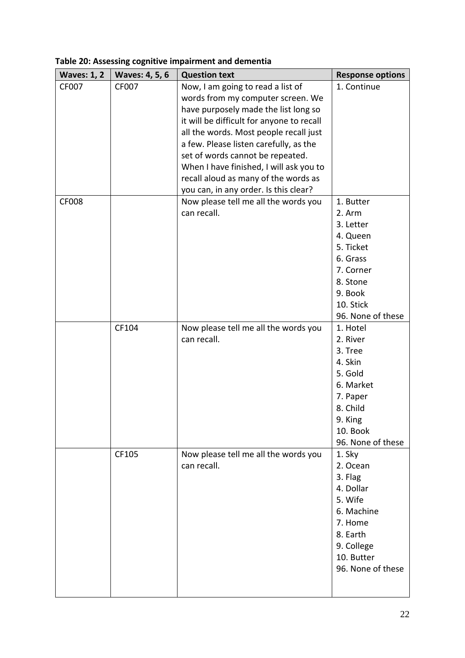| <b>Waves: 1, 2</b> | <b>Waves: 4, 5, 6</b> | <b>Question text</b>                      | <b>Response options</b> |
|--------------------|-----------------------|-------------------------------------------|-------------------------|
| CF007              | CF007                 | Now, I am going to read a list of         | 1. Continue             |
|                    |                       | words from my computer screen. We         |                         |
|                    |                       | have purposely made the list long so      |                         |
|                    |                       | it will be difficult for anyone to recall |                         |
|                    |                       | all the words. Most people recall just    |                         |
|                    |                       | a few. Please listen carefully, as the    |                         |
|                    |                       | set of words cannot be repeated.          |                         |
|                    |                       | When I have finished, I will ask you to   |                         |
|                    |                       | recall aloud as many of the words as      |                         |
|                    |                       | you can, in any order. Is this clear?     |                         |
| <b>CF008</b>       |                       | Now please tell me all the words you      | 1. Butter               |
|                    |                       | can recall.                               | 2. Arm                  |
|                    |                       |                                           | 3. Letter               |
|                    |                       |                                           | 4. Queen                |
|                    |                       |                                           | 5. Ticket               |
|                    |                       |                                           | 6. Grass                |
|                    |                       |                                           | 7. Corner               |
|                    |                       |                                           | 8. Stone                |
|                    |                       |                                           | 9. Book                 |
|                    |                       |                                           | 10. Stick               |
|                    |                       |                                           | 96. None of these       |
|                    | CF104                 | Now please tell me all the words you      | 1. Hotel                |
|                    |                       | can recall.                               | 2. River                |
|                    |                       |                                           | 3. Tree                 |
|                    |                       |                                           | 4. Skin                 |
|                    |                       |                                           | 5. Gold                 |
|                    |                       |                                           | 6. Market               |
|                    |                       |                                           | 7. Paper                |
|                    |                       |                                           | 8. Child                |
|                    |                       |                                           | 9. King                 |
|                    |                       |                                           | 10. Book                |
|                    |                       |                                           | 96. None of these       |
|                    | CF105                 | Now please tell me all the words you      | 1. Sky                  |
|                    |                       | can recall.                               | 2. Ocean                |
|                    |                       |                                           | 3. Flag                 |
|                    |                       |                                           | 4. Dollar               |
|                    |                       |                                           | 5. Wife                 |
|                    |                       |                                           | 6. Machine              |
|                    |                       |                                           | 7. Home                 |
|                    |                       |                                           | 8. Earth                |
|                    |                       |                                           | 9. College              |
|                    |                       |                                           | 10. Butter              |
|                    |                       |                                           | 96. None of these       |
|                    |                       |                                           |                         |
|                    |                       |                                           |                         |

# **Table 20: Assessing cognitive impairment and dementia**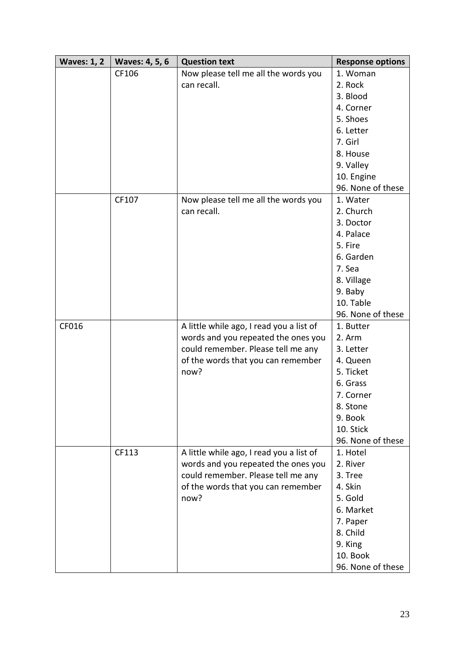| <b>Waves: 1, 2</b> | <b>Waves: 4, 5, 6</b> | <b>Question text</b>                     | <b>Response options</b> |
|--------------------|-----------------------|------------------------------------------|-------------------------|
|                    | CF106                 | Now please tell me all the words you     | 1. Woman                |
|                    |                       | can recall.                              | 2. Rock                 |
|                    |                       |                                          | 3. Blood                |
|                    |                       |                                          | 4. Corner               |
|                    |                       |                                          | 5. Shoes                |
|                    |                       |                                          | 6. Letter               |
|                    |                       |                                          | 7. Girl                 |
|                    |                       |                                          | 8. House                |
|                    |                       |                                          | 9. Valley               |
|                    |                       |                                          | 10. Engine              |
|                    |                       |                                          | 96. None of these       |
|                    | CF107                 | Now please tell me all the words you     | 1. Water                |
|                    |                       | can recall.                              | 2. Church               |
|                    |                       |                                          | 3. Doctor               |
|                    |                       |                                          | 4. Palace               |
|                    |                       |                                          | 5. Fire                 |
|                    |                       |                                          | 6. Garden               |
|                    |                       |                                          | 7. Sea                  |
|                    |                       |                                          | 8. Village              |
|                    |                       |                                          | 9. Baby                 |
|                    |                       |                                          | 10. Table               |
|                    |                       |                                          | 96. None of these       |
| CF016              |                       | A little while ago, I read you a list of | 1. Butter               |
|                    |                       | words and you repeated the ones you      | 2. Arm                  |
|                    |                       | could remember. Please tell me any       | 3. Letter               |
|                    |                       | of the words that you can remember       | 4. Queen                |
|                    |                       | now?                                     | 5. Ticket               |
|                    |                       |                                          | 6. Grass                |
|                    |                       |                                          | 7. Corner               |
|                    |                       |                                          | 8. Stone                |
|                    |                       |                                          | 9. Book                 |
|                    |                       |                                          | 10. Stick               |
|                    |                       |                                          | 96. None of these       |
|                    | CF113                 | A little while ago, I read you a list of | 1. Hotel                |
|                    |                       | words and you repeated the ones you      | 2. River                |
|                    |                       | could remember. Please tell me any       | 3. Tree                 |
|                    |                       | of the words that you can remember       | 4. Skin                 |
|                    |                       | now?                                     | 5. Gold                 |
|                    |                       |                                          | 6. Market               |
|                    |                       |                                          | 7. Paper                |
|                    |                       |                                          | 8. Child                |
|                    |                       |                                          | 9. King                 |
|                    |                       |                                          | 10. Book                |
|                    |                       |                                          | 96. None of these       |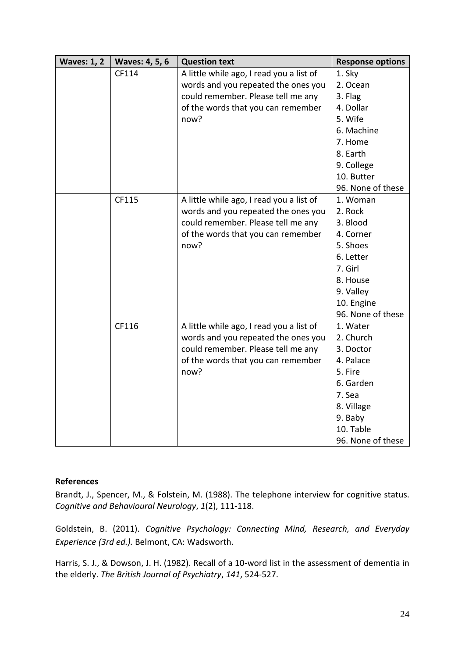| <b>Waves: 1, 2</b> | <b>Waves: 4, 5, 6</b> | <b>Question text</b>                     | <b>Response options</b> |
|--------------------|-----------------------|------------------------------------------|-------------------------|
|                    | CF114                 | A little while ago, I read you a list of | 1. Sky                  |
|                    |                       | words and you repeated the ones you      | 2. Ocean                |
|                    |                       | could remember. Please tell me any       | 3. Flag                 |
|                    |                       | of the words that you can remember       | 4. Dollar               |
|                    |                       | now?                                     | 5. Wife                 |
|                    |                       |                                          | 6. Machine              |
|                    |                       |                                          | 7. Home                 |
|                    |                       |                                          | 8. Earth                |
|                    |                       |                                          | 9. College              |
|                    |                       |                                          | 10. Butter              |
|                    |                       |                                          | 96. None of these       |
|                    | CF115                 | A little while ago, I read you a list of | 1. Woman                |
|                    |                       | words and you repeated the ones you      | 2. Rock                 |
|                    |                       | could remember. Please tell me any       | 3. Blood                |
|                    |                       | of the words that you can remember       | 4. Corner               |
|                    |                       | now?                                     | 5. Shoes                |
|                    |                       |                                          | 6. Letter               |
|                    |                       |                                          | 7. Girl                 |
|                    |                       |                                          | 8. House                |
|                    |                       |                                          | 9. Valley               |
|                    |                       |                                          | 10. Engine              |
|                    |                       |                                          | 96. None of these       |
|                    | CF116                 | A little while ago, I read you a list of | 1. Water                |
|                    |                       | words and you repeated the ones you      | 2. Church               |
|                    |                       | could remember. Please tell me any       | 3. Doctor               |
|                    |                       | of the words that you can remember       | 4. Palace               |
|                    |                       | now?                                     | 5. Fire                 |
|                    |                       |                                          | 6. Garden               |
|                    |                       |                                          | 7. Sea                  |
|                    |                       |                                          | 8. Village              |
|                    |                       |                                          | 9. Baby                 |
|                    |                       |                                          | 10. Table               |
|                    |                       |                                          | 96. None of these       |

Brandt, J., Spencer, M., & Folstein, M. (1988). The telephone interview for cognitive status. *Cognitive and Behavioural Neurology*, *1*(2), 111-118.

Goldstein, B. (2011). *Cognitive Psychology: Connecting Mind, Research, and Everyday Experience (3rd ed.).* Belmont, CA: Wadsworth.

Harris, S. J., & Dowson, J. H. (1982). Recall of a 10-word list in the assessment of dementia in the elderly. *The British Journal of Psychiatry*, *141*, 524-527.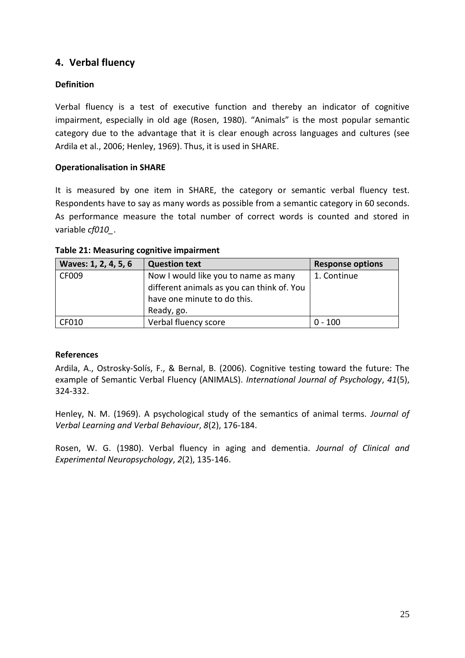# <span id="page-24-0"></span>**4. Verbal fluency**

### **Definition**

Verbal fluency is a test of executive function and thereby an indicator of cognitive impairment, especially in old age (Rosen, 1980). "Animals" is the most popular semantic category due to the advantage that it is clear enough across languages and cultures (see Ardila et al., 2006; Henley, 1969). Thus, it is used in SHARE.

#### **Operationalisation in SHARE**

It is measured by one item in SHARE, the category or semantic verbal fluency test. Respondents have to say as many words as possible from a semantic category in 60 seconds. As performance measure the total number of correct words is counted and stored in variable *cf010\_*.

| Waves: 1, 2, 4, 5, 6 | <b>Question text</b>                                                                                                            | <b>Response options</b> |
|----------------------|---------------------------------------------------------------------------------------------------------------------------------|-------------------------|
| CF009                | Now I would like you to name as many<br>different animals as you can think of. You<br>have one minute to do this.<br>Ready, go. | 1. Continue             |
| CF010                | Verbal fluency score                                                                                                            | $0 - 100$               |

#### **Table 21: Measuring cognitive impairment**

#### **References**

Ardila, A., Ostrosky‐Solís, F., & Bernal, B. (2006). Cognitive testing toward the future: The example of Semantic Verbal Fluency (ANIMALS). *International Journal of Psychology*, *41*(5), 324-332.

Henley, N. M. (1969). A psychological study of the semantics of animal terms. *Journal of Verbal Learning and Verbal Behaviour*, *8*(2), 176-184.

Rosen, W. G. (1980). Verbal fluency in aging and dementia. *Journal of Clinical and Experimental Neuropsychology*, *2*(2), 135-146.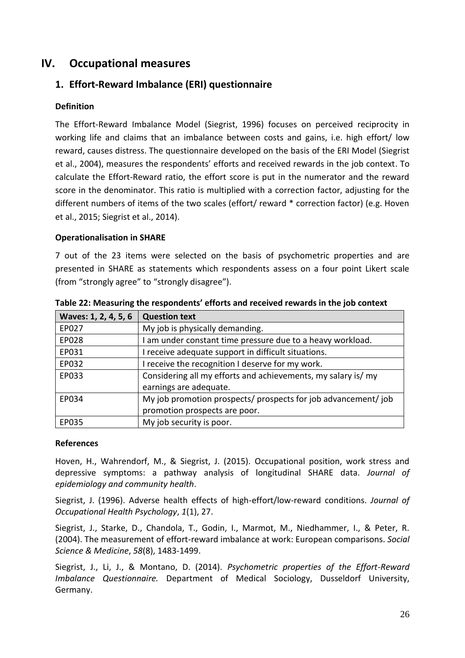# <span id="page-25-0"></span>**IV. Occupational measures**

# <span id="page-25-1"></span>**1. Effort-Reward Imbalance (ERI) questionnaire**

#### **Definition**

The Effort-Reward Imbalance Model (Siegrist, 1996) focuses on perceived reciprocity in working life and claims that an imbalance between costs and gains, i.e. high effort/ low reward, causes distress. The questionnaire developed on the basis of the ERI Model (Siegrist et al., 2004), measures the respondents' efforts and received rewards in the job context. To calculate the Effort-Reward ratio, the effort score is put in the numerator and the reward score in the denominator. This ratio is multiplied with a correction factor, adjusting for the different numbers of items of the two scales (effort/ reward \* correction factor) (e.g. Hoven et al., 2015; Siegrist et al., 2014).

#### **Operationalisation in SHARE**

7 out of the 23 items were selected on the basis of psychometric properties and are presented in SHARE as statements which respondents assess on a four point Likert scale (from "strongly agree" to "strongly disagree").

| Waves: 1, 2, 4, 5, 6 | <b>Question text</b>                                           |  |
|----------------------|----------------------------------------------------------------|--|
| EP027                | My job is physically demanding.                                |  |
| EP028                | I am under constant time pressure due to a heavy workload.     |  |
| EP031                | I receive adequate support in difficult situations.            |  |
| EP032                | I receive the recognition I deserve for my work.               |  |
| EP033                | Considering all my efforts and achievements, my salary is/ my  |  |
|                      | earnings are adequate.                                         |  |
| EP034                | My job promotion prospects/ prospects for job advancement/ job |  |
|                      | promotion prospects are poor.                                  |  |
| EP035                | My job security is poor.                                       |  |

**Table 22: Measuring the respondents' efforts and received rewards in the job context**

#### **References**

Hoven, H., Wahrendorf, M., & Siegrist, J. (2015). Occupational position, work stress and depressive symptoms: a pathway analysis of longitudinal SHARE data. *Journal of epidemiology and community health*.

Siegrist, J. (1996). Adverse health effects of high-effort/low-reward conditions. *Journal of Occupational Health Psychology*, *1*(1), 27.

Siegrist, J., Starke, D., Chandola, T., Godin, I., Marmot, M., Niedhammer, I., & Peter, R. (2004). The measurement of effort-reward imbalance at work: European comparisons. *Social Science & Medicine*, *58*(8), 1483-1499.

Siegrist, J., Li, J., & Montano, D. (2014). *Psychometric properties of the Effort-Reward Imbalance Questionnaire.* Department of Medical Sociology, Dusseldorf University, Germany.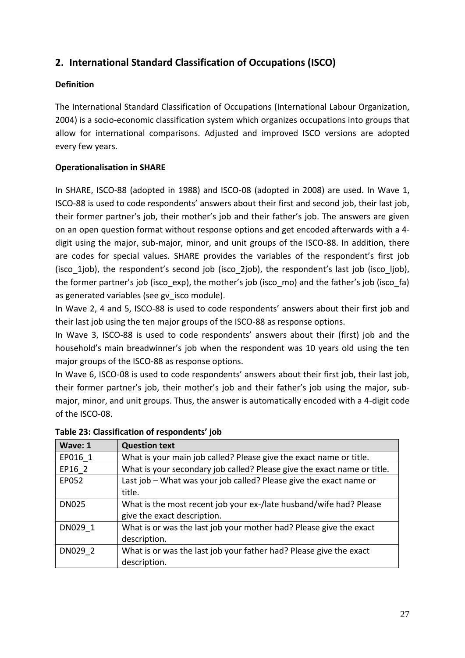# <span id="page-26-0"></span>**2. International Standard Classification of Occupations (ISCO)**

# **Definition**

The International Standard Classification of Occupations (International Labour Organization, 2004) is a socio-economic classification system which organizes occupations into groups that allow for international comparisons. Adjusted and improved ISCO versions are adopted every few years.

# **Operationalisation in SHARE**

In SHARE, ISCO-88 (adopted in 1988) and ISCO-08 (adopted in 2008) are used. In Wave 1, ISCO-88 is used to code respondents' answers about their first and second job, their last job, their former partner's job, their mother's job and their father's job. The answers are given on an open question format without response options and get encoded afterwards with a 4 digit using the major, sub-major, minor, and unit groups of the ISCO-88. In addition, there are codes for special values. SHARE provides the variables of the respondent's first job (isco\_1job), the respondent's second job (isco\_2job), the respondent's last job (isco\_ljob), the former partner's job (isco\_exp), the mother's job (isco\_mo) and the father's job (isco\_fa) as generated variables (see gv isco module).

In Wave 2, 4 and 5, ISCO-88 is used to code respondents' answers about their first job and their last job using the ten major groups of the ISCO-88 as response options.

In Wave 3, ISCO-88 is used to code respondents' answers about their (first) job and the household's main breadwinner's job when the respondent was 10 years old using the ten major groups of the ISCO-88 as response options.

In Wave 6, ISCO-08 is used to code respondents' answers about their first job, their last job, their former partner's job, their mother's job and their father's job using the major, submajor, minor, and unit groups. Thus, the answer is automatically encoded with a 4-digit code of the ISCO-08.

| Wave: 1      | <b>Question text</b>                                                    |
|--------------|-------------------------------------------------------------------------|
| EP016 1      | What is your main job called? Please give the exact name or title.      |
| EP16 2       | What is your secondary job called? Please give the exact name or title. |
| EP052        | Last job – What was your job called? Please give the exact name or      |
|              | title.                                                                  |
| <b>DN025</b> | What is the most recent job your ex-/late husband/wife had? Please      |
|              | give the exact description.                                             |
| DN029 1      | What is or was the last job your mother had? Please give the exact      |
|              | description.                                                            |
| DN029 2      | What is or was the last job your father had? Please give the exact      |
|              | description.                                                            |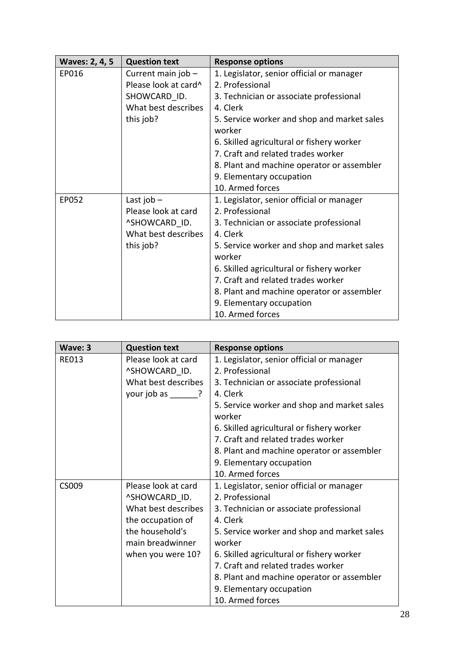| <b>Waves: 2, 4, 5</b> | <b>Question text</b> | <b>Response options</b>                     |
|-----------------------|----------------------|---------------------------------------------|
| EP016                 | Current main job -   | 1. Legislator, senior official or manager   |
|                       | Please look at card^ | 2. Professional                             |
|                       | SHOWCARD ID.         | 3. Technician or associate professional     |
|                       | What best describes  | 4. Clerk                                    |
|                       | this job?            | 5. Service worker and shop and market sales |
|                       |                      | worker                                      |
|                       |                      | 6. Skilled agricultural or fishery worker   |
|                       |                      | 7. Craft and related trades worker          |
|                       |                      | 8. Plant and machine operator or assembler  |
|                       |                      | 9. Elementary occupation                    |
|                       |                      | 10. Armed forces                            |
| EP052                 | Last job $-$         | 1. Legislator, senior official or manager   |
|                       | Please look at card  | 2. Professional                             |
|                       | ^SHOWCARD ID.        | 3. Technician or associate professional     |
|                       | What best describes  | 4. Clerk                                    |
|                       | this job?            | 5. Service worker and shop and market sales |
|                       |                      | worker                                      |
|                       |                      | 6. Skilled agricultural or fishery worker   |
|                       |                      | 7. Craft and related trades worker          |
|                       |                      | 8. Plant and machine operator or assembler  |
|                       |                      | 9. Elementary occupation                    |
|                       |                      | 10. Armed forces                            |

| Wave: 3      | <b>Question text</b> | <b>Response options</b>                     |
|--------------|----------------------|---------------------------------------------|
| <b>RE013</b> | Please look at card  | 1. Legislator, senior official or manager   |
|              | ^SHOWCARD ID.        | 2. Professional                             |
|              | What best describes  | 3. Technician or associate professional     |
|              | your job as ?        | 4. Clerk                                    |
|              |                      | 5. Service worker and shop and market sales |
|              |                      | worker                                      |
|              |                      | 6. Skilled agricultural or fishery worker   |
|              |                      | 7. Craft and related trades worker          |
|              |                      | 8. Plant and machine operator or assembler  |
|              |                      | 9. Elementary occupation                    |
|              |                      | 10. Armed forces                            |
| CS009        | Please look at card  | 1. Legislator, senior official or manager   |
|              | ^SHOWCARD ID.        | 2. Professional                             |
|              | What best describes  | 3. Technician or associate professional     |
|              | the occupation of    | 4. Clerk                                    |
|              | the household's      | 5. Service worker and shop and market sales |
|              | main breadwinner     | worker                                      |
|              | when you were 10?    | 6. Skilled agricultural or fishery worker   |
|              |                      | 7. Craft and related trades worker          |
|              |                      | 8. Plant and machine operator or assembler  |
|              |                      | 9. Elementary occupation                    |
|              |                      | 10. Armed forces                            |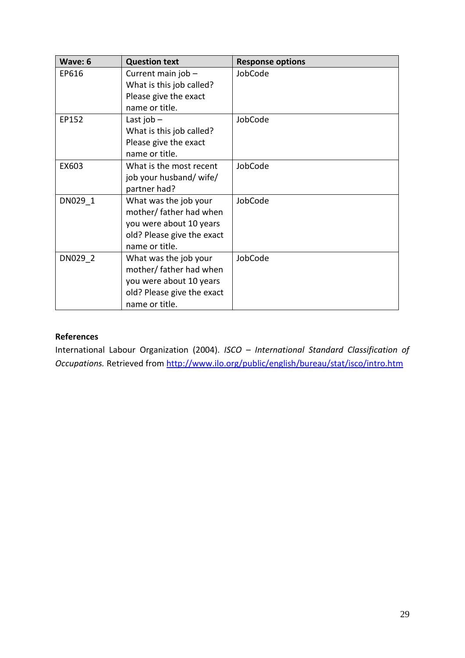| Wave: 6 | <b>Question text</b>                                                                                                        | <b>Response options</b> |
|---------|-----------------------------------------------------------------------------------------------------------------------------|-------------------------|
| EP616   | Current main job -<br>What is this job called?<br>Please give the exact<br>name or title.                                   | JobCode                 |
| EP152   | Last job $-$<br>What is this job called?<br>Please give the exact<br>name or title.                                         | JobCode                 |
| EX603   | What is the most recent<br>job your husband/ wife/<br>partner had?                                                          | JobCode                 |
| DN029 1 | What was the job your<br>mother/ father had when<br>you were about 10 years<br>old? Please give the exact<br>name or title. | JobCode                 |
| DN029 2 | What was the job your<br>mother/ father had when<br>you were about 10 years<br>old? Please give the exact<br>name or title. | JobCode                 |

International Labour Organization (2004). *ISCO – International Standard Classification of Occupations.* Retrieved from<http://www.ilo.org/public/english/bureau/stat/isco/intro.htm>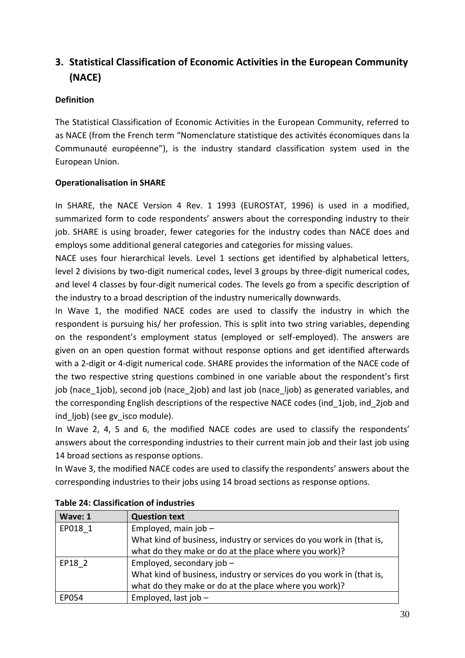# <span id="page-29-0"></span>**3. Statistical Classification of Economic Activities in the European Community (NACE)**

### **Definition**

The Statistical Classification of Economic Activities in the European Community, referred to as NACE (from the French term "Nomenclature statistique des activités économiques dans la Communauté européenne"), is the industry standard classification system used in the European Union.

#### **Operationalisation in SHARE**

In SHARE, the NACE Version 4 Rev. 1 1993 (EUROSTAT, 1996) is used in a modified, summarized form to code respondents' answers about the corresponding industry to their job. SHARE is using broader, fewer categories for the industry codes than NACE does and employs some additional general categories and categories for missing values.

NACE uses four hierarchical levels. Level 1 sections get identified by alphabetical letters, level 2 divisions by two-digit numerical codes, level 3 groups by three-digit numerical codes, and level 4 classes by four-digit numerical codes. The levels go from a specific description of the industry to a broad description of the industry numerically downwards.

In Wave 1, the modified NACE codes are used to classify the industry in which the respondent is pursuing his/ her profession. This is split into two string variables, depending on the respondent's employment status (employed or self-employed). The answers are given on an open question format without response options and get identified afterwards with a 2-digit or 4-digit numerical code. SHARE provides the information of the NACE code of the two respective string questions combined in one variable about the respondent's first job (nace 1job), second job (nace 2job) and last job (nace ljob) as generated variables, and the corresponding English descriptions of the respective NACE codes (ind\_1job, ind\_2job and ind liob) (see gy isco module).

In Wave 2, 4, 5 and 6, the modified NACE codes are used to classify the respondents' answers about the corresponding industries to their current main job and their last job using 14 broad sections as response options.

In Wave 3, the modified NACE codes are used to classify the respondents' answers about the corresponding industries to their jobs using 14 broad sections as response options.

| Wave: 1 | <b>Question text</b>                                                 |  |  |  |
|---------|----------------------------------------------------------------------|--|--|--|
| EP018 1 | Employed, main job $-$                                               |  |  |  |
|         | What kind of business, industry or services do you work in (that is, |  |  |  |
|         | what do they make or do at the place where you work)?                |  |  |  |
| EP18 2  | Employed, secondary job -                                            |  |  |  |
|         | What kind of business, industry or services do you work in (that is, |  |  |  |
|         | what do they make or do at the place where you work)?                |  |  |  |
| EP054   | Employed, last job $-$                                               |  |  |  |

#### **Table 24: Classification of industries**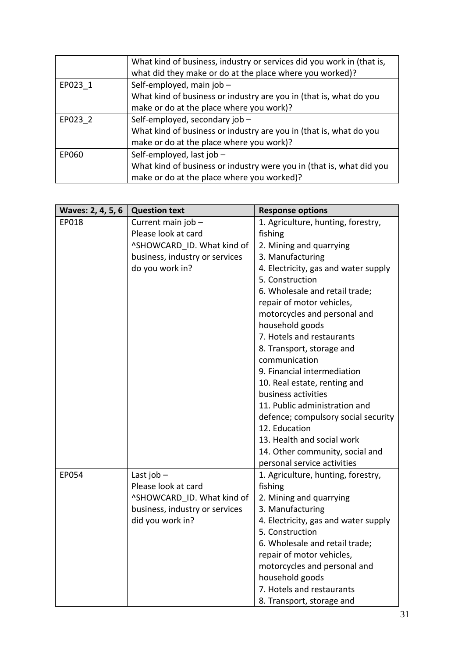|         | What kind of business, industry or services did you work in (that is, |  |  |
|---------|-----------------------------------------------------------------------|--|--|
|         | what did they make or do at the place where you worked)?              |  |  |
| EP023 1 | Self-employed, main job -                                             |  |  |
|         | What kind of business or industry are you in (that is, what do you    |  |  |
|         | make or do at the place where you work)?                              |  |  |
| EP023 2 | Self-employed, secondary job -                                        |  |  |
|         | What kind of business or industry are you in (that is, what do you    |  |  |
|         | make or do at the place where you work)?                              |  |  |
| EP060   | Self-employed, last job -                                             |  |  |
|         | What kind of business or industry were you in (that is, what did you  |  |  |
|         | make or do at the place where you worked)?                            |  |  |
|         |                                                                       |  |  |

| Waves: 2, 4, 5, 6 | <b>Question text</b>           | <b>Response options</b>              |  |
|-------------------|--------------------------------|--------------------------------------|--|
| EP018             | Current main job -             | 1. Agriculture, hunting, forestry,   |  |
|                   | Please look at card            | fishing                              |  |
|                   | ^SHOWCARD ID. What kind of     | 2. Mining and quarrying              |  |
|                   | business, industry or services | 3. Manufacturing                     |  |
|                   | do you work in?                | 4. Electricity, gas and water supply |  |
|                   |                                | 5. Construction                      |  |
|                   |                                | 6. Wholesale and retail trade;       |  |
|                   |                                | repair of motor vehicles,            |  |
|                   |                                | motorcycles and personal and         |  |
|                   |                                | household goods                      |  |
|                   |                                | 7. Hotels and restaurants            |  |
|                   |                                | 8. Transport, storage and            |  |
|                   |                                | communication                        |  |
|                   |                                | 9. Financial intermediation          |  |
|                   |                                | 10. Real estate, renting and         |  |
|                   |                                | business activities                  |  |
|                   |                                | 11. Public administration and        |  |
|                   |                                | defence; compulsory social security  |  |
|                   |                                | 12. Education                        |  |
|                   |                                | 13. Health and social work           |  |
|                   |                                | 14. Other community, social and      |  |
|                   |                                | personal service activities          |  |
| EP054             | Last job $-$                   | 1. Agriculture, hunting, forestry,   |  |
|                   | Please look at card            | fishing                              |  |
|                   | ^SHOWCARD ID. What kind of     | 2. Mining and quarrying              |  |
|                   | business, industry or services | 3. Manufacturing                     |  |
|                   | did you work in?               | 4. Electricity, gas and water supply |  |
|                   |                                | 5. Construction                      |  |
|                   |                                | 6. Wholesale and retail trade;       |  |
|                   |                                | repair of motor vehicles,            |  |
|                   |                                | motorcycles and personal and         |  |
|                   |                                | household goods                      |  |
|                   |                                | 7. Hotels and restaurants            |  |
|                   |                                | 8. Transport, storage and            |  |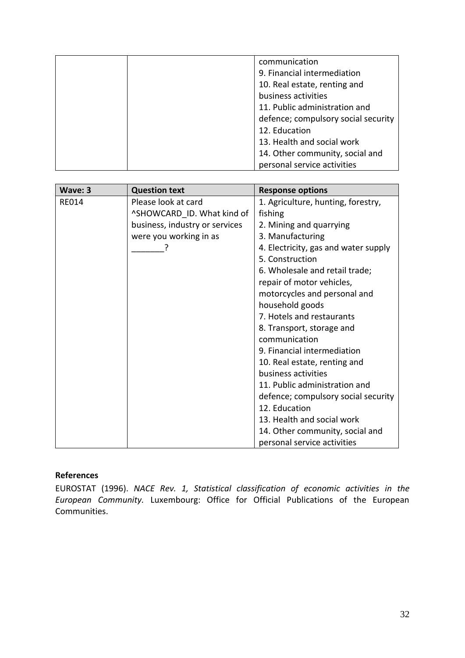|  | communication                       |
|--|-------------------------------------|
|  | 9. Financial intermediation         |
|  | 10. Real estate, renting and        |
|  | business activities                 |
|  | 11. Public administration and       |
|  | defence; compulsory social security |
|  | 12. Education                       |
|  | 13. Health and social work          |
|  | 14. Other community, social and     |
|  | personal service activities         |

| Wave: 3      | <b>Question text</b>           | <b>Response options</b>              |  |
|--------------|--------------------------------|--------------------------------------|--|
| <b>RE014</b> | Please look at card            | 1. Agriculture, hunting, forestry,   |  |
|              | ^SHOWCARD ID. What kind of     | fishing                              |  |
|              | business, industry or services | 2. Mining and quarrying              |  |
|              | were you working in as         | 3. Manufacturing                     |  |
|              |                                | 4. Electricity, gas and water supply |  |
|              |                                | 5. Construction                      |  |
|              |                                | 6. Wholesale and retail trade;       |  |
|              |                                | repair of motor vehicles,            |  |
|              |                                | motorcycles and personal and         |  |
|              |                                | household goods                      |  |
|              |                                | 7. Hotels and restaurants            |  |
|              |                                | 8. Transport, storage and            |  |
|              |                                | communication                        |  |
|              |                                | 9. Financial intermediation          |  |
|              |                                | 10. Real estate, renting and         |  |
|              |                                | business activities                  |  |
|              |                                | 11. Public administration and        |  |
|              |                                | defence; compulsory social security  |  |
|              |                                | 12. Education                        |  |
|              |                                | 13. Health and social work           |  |
|              |                                | 14. Other community, social and      |  |
|              |                                | personal service activities          |  |

EUROSTAT (1996). *NACE Rev. 1, Statistical classification of economic activities in the European Community.* Luxembourg: Office for Official Publications of the European Communities.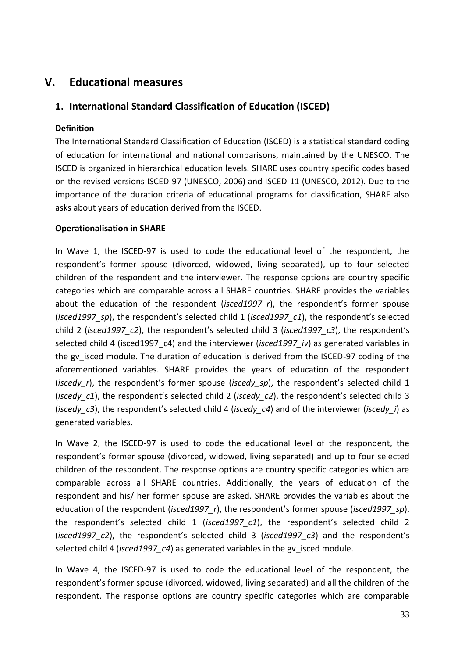# <span id="page-32-0"></span>**V. Educational measures**

# <span id="page-32-1"></span>**1. International Standard Classification of Education (ISCED)**

# **Definition**

The International Standard Classification of Education (ISCED) is a statistical standard coding of education for international and national comparisons, maintained by the UNESCO. The ISCED is organized in hierarchical education levels. SHARE uses country specific codes based on the revised versions ISCED-97 (UNESCO, 2006) and ISCED-11 (UNESCO, 2012). Due to the importance of the duration criteria of educational programs for classification, SHARE also asks about years of education derived from the ISCED.

#### **Operationalisation in SHARE**

In Wave 1, the ISCED-97 is used to code the educational level of the respondent, the respondent's former spouse (divorced, widowed, living separated), up to four selected children of the respondent and the interviewer. The response options are country specific categories which are comparable across all SHARE countries. SHARE provides the variables about the education of the respondent (*isced1997\_r*), the respondent's former spouse (*isced1997\_sp*), the respondent's selected child 1 (*isced1997\_c1*), the respondent's selected child 2 (*isced1997\_c2*), the respondent's selected child 3 (*isced1997\_c3*), the respondent's selected child 4 (isced1997 c4) and the interviewer (*isced1997 iv*) as generated variables in the gy isced module. The duration of education is derived from the ISCED-97 coding of the aforementioned variables. SHARE provides the years of education of the respondent (*iscedy r*), the respondent's former spouse (*iscedy sp*), the respondent's selected child 1 (*iscedy\_c1*), the respondent's selected child 2 (*iscedy\_c2*), the respondent's selected child 3 (*iscedy\_c3*), the respondent's selected child 4 (*iscedy\_c4*) and of the interviewer (*iscedy\_i*) as generated variables.

In Wave 2, the ISCED-97 is used to code the educational level of the respondent, the respondent's former spouse (divorced, widowed, living separated) and up to four selected children of the respondent. The response options are country specific categories which are comparable across all SHARE countries. Additionally, the years of education of the respondent and his/ her former spouse are asked. SHARE provides the variables about the education of the respondent (*isced1997\_r*), the respondent's former spouse (*isced1997\_sp*), the respondent's selected child 1 (*isced1997\_c1*), the respondent's selected child 2 (*isced1997\_c2*), the respondent's selected child 3 (*isced1997\_c3*) and the respondent's selected child 4 (*isced1997-c4*) as generated variables in the gv isced module.

In Wave 4, the ISCED-97 is used to code the educational level of the respondent, the respondent's former spouse (divorced, widowed, living separated) and all the children of the respondent. The response options are country specific categories which are comparable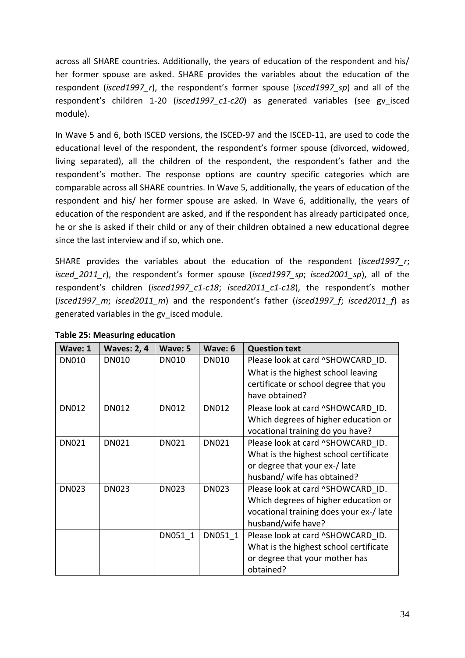across all SHARE countries. Additionally, the years of education of the respondent and his/ her former spouse are asked. SHARE provides the variables about the education of the respondent (*isced1997\_r*), the respondent's former spouse (*isced1997\_sp*) and all of the respondent's children 1-20 (*isced1997\_c1-c20*) as generated variables (see gv\_isced module).

In Wave 5 and 6, both ISCED versions, the ISCED-97 and the ISCED-11, are used to code the educational level of the respondent, the respondent's former spouse (divorced, widowed, living separated), all the children of the respondent, the respondent's father and the respondent's mother. The response options are country specific categories which are comparable across all SHARE countries. In Wave 5, additionally, the years of education of the respondent and his/ her former spouse are asked. In Wave 6, additionally, the years of education of the respondent are asked, and if the respondent has already participated once, he or she is asked if their child or any of their children obtained a new educational degree since the last interview and if so, which one.

SHARE provides the variables about the education of the respondent (*isced1997\_r*; *isced* 2011 r), the respondent's former spouse (*isced1997 sp*; *isced2001 sp*), all of the respondent's children (*isced1997\_c1-c18*; *isced2011\_c1-c18*), the respondent's mother (*isced1997\_m*; *isced2011\_m*) and the respondent's father (*isced1997\_f*; *isced2011\_f*) as generated variables in the gv\_isced module.

| Wave: 1      | <b>Waves: 2, 4</b> | Wave: 5      | Wave: 6      | <b>Question text</b>                   |
|--------------|--------------------|--------------|--------------|----------------------------------------|
| <b>DN010</b> | <b>DN010</b>       | <b>DN010</b> | <b>DN010</b> | Please look at card ^SHOWCARD ID.      |
|              |                    |              |              | What is the highest school leaving     |
|              |                    |              |              | certificate or school degree that you  |
|              |                    |              |              | have obtained?                         |
| <b>DN012</b> | <b>DN012</b>       | <b>DN012</b> | <b>DN012</b> | Please look at card ^SHOWCARD ID.      |
|              |                    |              |              | Which degrees of higher education or   |
|              |                    |              |              | vocational training do you have?       |
| <b>DN021</b> | <b>DN021</b>       | DN021        | <b>DN021</b> | Please look at card ^SHOWCARD ID.      |
|              |                    |              |              | What is the highest school certificate |
|              |                    |              |              | or degree that your ex-/late           |
|              |                    |              |              | husband/ wife has obtained?            |
| <b>DN023</b> | <b>DN023</b>       | <b>DN023</b> | <b>DN023</b> | Please look at card ^SHOWCARD ID.      |
|              |                    |              |              | Which degrees of higher education or   |
|              |                    |              |              | vocational training does your ex-/late |
|              |                    |              |              | husband/wife have?                     |
|              |                    | DN051 1      | DN051 1      | Please look at card ^SHOWCARD ID.      |
|              |                    |              |              | What is the highest school certificate |
|              |                    |              |              | or degree that your mother has         |
|              |                    |              |              | obtained?                              |

#### **Table 25: Measuring education**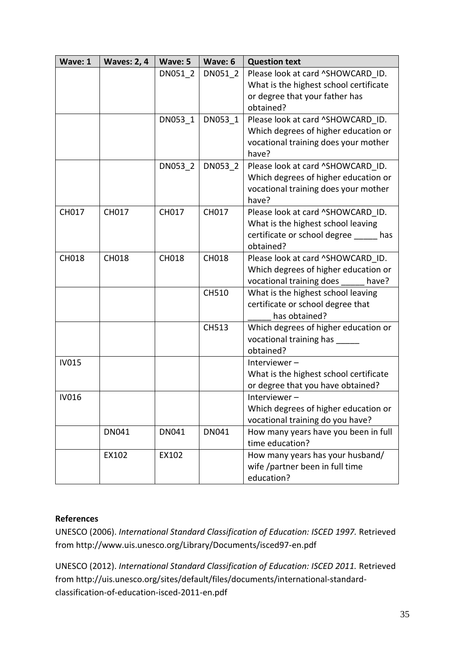| Wave: 1      | <b>Waves: 2, 4</b> | Wave: 5 | Wave: 6      | <b>Question text</b>                                                                                                        |
|--------------|--------------------|---------|--------------|-----------------------------------------------------------------------------------------------------------------------------|
|              |                    | DN051 2 | DN051 2      | Please look at card ^SHOWCARD ID.<br>What is the highest school certificate<br>or degree that your father has<br>obtained?  |
|              |                    | DN053 1 | DN053 1      | Please look at card ^SHOWCARD ID.<br>Which degrees of higher education or<br>vocational training does your mother<br>have?  |
|              |                    | DN053 2 | DN053 2      | Please look at card ^SHOWCARD ID.<br>Which degrees of higher education or<br>vocational training does your mother<br>have?  |
| CH017        | CH017              | CH017   | CH017        | Please look at card ^SHOWCARD ID.<br>What is the highest school leaving<br>certificate or school degree<br>has<br>obtained? |
| CH018        | CH018              | CH018   | CH018        | Please look at card ^SHOWCARD ID.<br>Which degrees of higher education or<br>vocational training does<br>have?              |
|              |                    |         | CH510        | What is the highest school leaving<br>certificate or school degree that<br>has obtained?                                    |
|              |                    |         | <b>CH513</b> | Which degrees of higher education or<br>vocational training has ___<br>obtained?                                            |
| <b>IV015</b> |                    |         |              | Interviewer-<br>What is the highest school certificate<br>or degree that you have obtained?                                 |
| <b>IV016</b> |                    |         |              | Interviewer-<br>Which degrees of higher education or<br>vocational training do you have?                                    |
|              | DN041              | DN041   | DN041        | How many years have you been in full<br>time education?                                                                     |
|              | EX102              | EX102   |              | How many years has your husband/<br>wife /partner been in full time<br>education?                                           |

UNESCO (2006). *International Standard Classification of Education: ISCED 1997.* Retrieved from http://www.uis.unesco.org/Library/Documents/isced97-en.pdf

UNESCO (2012). *International Standard Classification of Education: ISCED 2011.* Retrieved from http://uis.unesco.org/sites/default/files/documents/international-standardclassification-of-education-isced-2011-en.pdf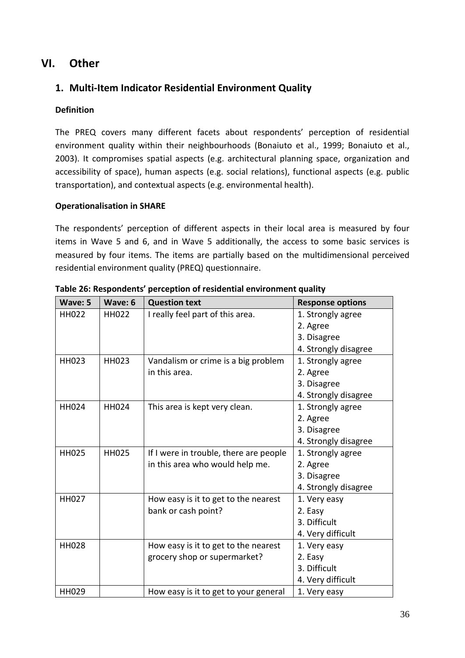# <span id="page-35-0"></span>**VI. Other**

# <span id="page-35-1"></span>**1. Multi-Item Indicator Residential Environment Quality**

#### **Definition**

The PREQ covers many different facets about respondents' perception of residential environment quality within their neighbourhoods (Bonaiuto et al., 1999; Bonaiuto et al., 2003). It compromises spatial aspects (e.g. architectural planning space, organization and accessibility of space), human aspects (e.g. social relations), functional aspects (e.g. public transportation), and contextual aspects (e.g. environmental health).

#### **Operationalisation in SHARE**

The respondents' perception of different aspects in their local area is measured by four items in Wave 5 and 6, and in Wave 5 additionally, the access to some basic services is measured by four items. The items are partially based on the multidimensional perceived residential environment quality (PREQ) questionnaire.

| Wave: 5      | Wave: 6      | <b>Question text</b>                   | <b>Response options</b> |
|--------------|--------------|----------------------------------------|-------------------------|
| <b>HH022</b> | <b>HH022</b> | I really feel part of this area.       | 1. Strongly agree       |
|              |              |                                        | 2. Agree                |
|              |              |                                        | 3. Disagree             |
|              |              |                                        | 4. Strongly disagree    |
| <b>HH023</b> | <b>HH023</b> | Vandalism or crime is a big problem    | 1. Strongly agree       |
|              |              | in this area.                          | 2. Agree                |
|              |              |                                        | 3. Disagree             |
|              |              |                                        | 4. Strongly disagree    |
| <b>HH024</b> | HH024        | This area is kept very clean.          | 1. Strongly agree       |
|              |              |                                        | 2. Agree                |
|              |              |                                        | 3. Disagree             |
|              |              |                                        | 4. Strongly disagree    |
| <b>HH025</b> | <b>HH025</b> | If I were in trouble, there are people | 1. Strongly agree       |
|              |              | in this area who would help me.        | 2. Agree                |
|              |              |                                        | 3. Disagree             |
|              |              |                                        | 4. Strongly disagree    |
| <b>HH027</b> |              | How easy is it to get to the nearest   | 1. Very easy            |
|              |              | bank or cash point?                    | 2. Easy                 |
|              |              |                                        | 3. Difficult            |
|              |              |                                        | 4. Very difficult       |
| <b>HH028</b> |              | How easy is it to get to the nearest   | 1. Very easy            |
|              |              | grocery shop or supermarket?           | 2. Easy                 |
|              |              |                                        | 3. Difficult            |
|              |              |                                        | 4. Very difficult       |
| HH029        |              | How easy is it to get to your general  | 1. Very easy            |

**Table 26: Respondents' perception of residential environment quality**